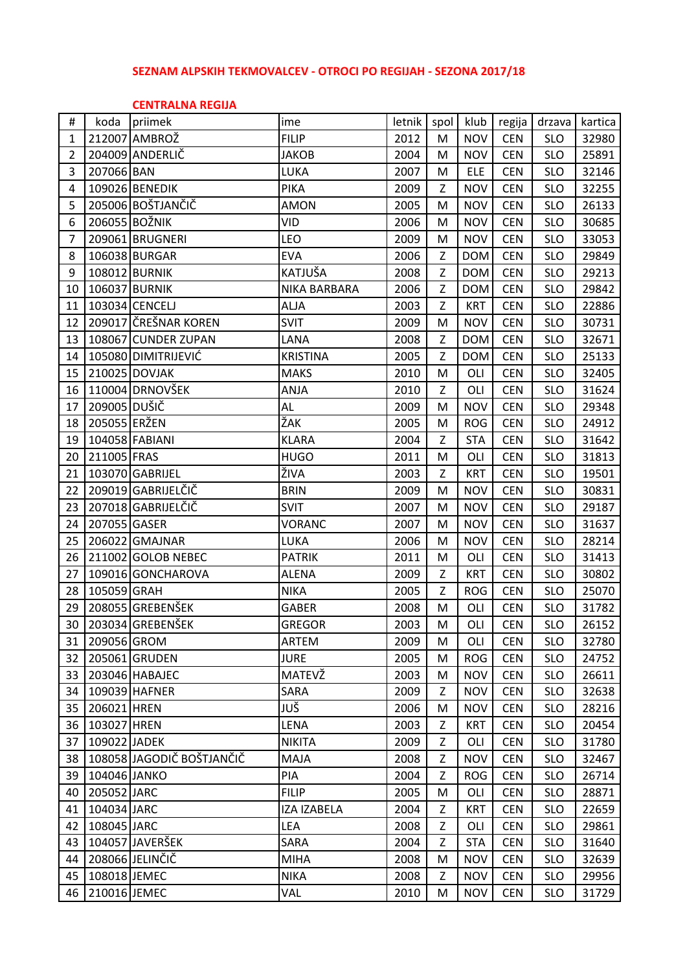## **SEZNAM ALPSKIH TEKMOVALCEV - OTROCI PO REGIJAH - SEZONA 2017/18**

### **CENTRALNA REGIJA**

| #  | koda         | priimek                   | ime                | letnik | spol | klub       | regija     | drzava     | kartica |
|----|--------------|---------------------------|--------------------|--------|------|------------|------------|------------|---------|
| 1  |              | 212007 AMBROŽ             | <b>FILIP</b>       | 2012   | M    | <b>NOV</b> | <b>CEN</b> | <b>SLO</b> | 32980   |
| 2  |              | 204009 ANDERLIČ           | JAKOB              | 2004   | M    | <b>NOV</b> | <b>CEN</b> | <b>SLO</b> | 25891   |
| 3  | 207066 BAN   |                           | LUKA               | 2007   | M    | <b>ELE</b> | <b>CEN</b> | <b>SLO</b> | 32146   |
| 4  |              | 109026 BENEDIK            | <b>PIKA</b>        | 2009   | Z    | <b>NOV</b> | <b>CEN</b> | <b>SLO</b> | 32255   |
| 5  |              | 205006 BOŠTJANČIČ         | <b>AMON</b>        | 2005   | M    | <b>NOV</b> | <b>CEN</b> | <b>SLO</b> | 26133   |
| 6  |              | 206055 BOŽNIK             | VID                | 2006   | M    | <b>NOV</b> | <b>CEN</b> | <b>SLO</b> | 30685   |
| 7  |              | 209061 BRUGNERI           | LEO                | 2009   | м    | <b>NOV</b> | <b>CEN</b> | <b>SLO</b> | 33053   |
| 8  |              | 106038 BURGAR             | <b>EVA</b>         | 2006   | Z    | <b>DOM</b> | <b>CEN</b> | <b>SLO</b> | 29849   |
| 9  |              | 108012 BURNIK             | KATJUŠA            | 2008   | Z    | <b>DOM</b> | <b>CEN</b> | <b>SLO</b> | 29213   |
| 10 |              | 106037 BURNIK             | NIKA BARBARA       | 2006   | Ζ    | <b>DOM</b> | <b>CEN</b> | <b>SLO</b> | 29842   |
| 11 |              | 103034 CENCELJ            | <b>ALJA</b>        | 2003   | Z    | <b>KRT</b> | <b>CEN</b> | <b>SLO</b> | 22886   |
| 12 |              | 209017 ČREŠNAR KOREN      | <b>SVIT</b>        | 2009   | M    | <b>NOV</b> | <b>CEN</b> | <b>SLO</b> | 30731   |
| 13 |              | 108067 CUNDER ZUPAN       | LANA               | 2008   | Z    | <b>DOM</b> | <b>CEN</b> | <b>SLO</b> | 32671   |
| 14 |              | 105080 DIMITRIJEVIĆ       | <b>KRISTINA</b>    | 2005   | Z    | <b>DOM</b> | <b>CEN</b> | <b>SLO</b> | 25133   |
| 15 |              | 210025 DOVJAK             | <b>MAKS</b>        | 2010   | M    | OLI        | <b>CEN</b> | <b>SLO</b> | 32405   |
| 16 |              | 110004 DRNOVŠEK           | <b>ANJA</b>        | 2010   | Z    | OLI        | <b>CEN</b> | <b>SLO</b> | 31624   |
| 17 | 209005 DUŠIČ |                           | <b>AL</b>          | 2009   | M    | <b>NOV</b> | <b>CEN</b> | <b>SLO</b> | 29348   |
| 18 | 205055 ERŽEN |                           | ŽAK                | 2005   | M    | <b>ROG</b> | <b>CEN</b> | <b>SLO</b> | 24912   |
| 19 |              | 104058 FABIANI            | <b>KLARA</b>       | 2004   | Z    | <b>STA</b> | <b>CEN</b> | <b>SLO</b> | 31642   |
| 20 | 211005 FRAS  |                           | <b>HUGO</b>        | 2011   | M    | OLI        | <b>CEN</b> | <b>SLO</b> | 31813   |
| 21 |              | 103070 GABRIJEL           | ŽIVA               | 2003   | Z    | <b>KRT</b> | <b>CEN</b> | <b>SLO</b> | 19501   |
| 22 |              | 209019 GABRIJELČIČ        | <b>BRIN</b>        | 2009   | M    | <b>NOV</b> | <b>CEN</b> | <b>SLO</b> | 30831   |
| 23 |              | 207018 GABRIJELČIČ        | <b>SVIT</b>        | 2007   | M    | <b>NOV</b> | <b>CEN</b> | <b>SLO</b> | 29187   |
| 24 | 207055 GASER |                           | VORANC             | 2007   | M    | <b>NOV</b> | <b>CEN</b> | <b>SLO</b> | 31637   |
| 25 |              | 206022 GMAJNAR            | LUKA               | 2006   | M    | <b>NOV</b> | <b>CEN</b> | <b>SLO</b> | 28214   |
| 26 |              | 211002 GOLOB NEBEC        | <b>PATRIK</b>      | 2011   | M    | OLI        | <b>CEN</b> | <b>SLO</b> | 31413   |
| 27 |              | 109016 GONCHAROVA         | <b>ALENA</b>       | 2009   | Z    | <b>KRT</b> | <b>CEN</b> | <b>SLO</b> | 30802   |
| 28 | 105059 GRAH  |                           | <b>NIKA</b>        | 2005   | Z    | <b>ROG</b> | <b>CEN</b> | <b>SLO</b> | 25070   |
| 29 |              | 208055 GREBENŠEK          | GABER              | 2008   | M    | OLI        | <b>CEN</b> | <b>SLO</b> | 31782   |
| 30 |              | 203034 GREBENŠEK          | <b>GREGOR</b>      | 2003   | M    | OLI        | <b>CEN</b> | <b>SLO</b> | 26152   |
| 31 | 209056 GROM  |                           | ARTEM              | 2009   | M    | OLI        | <b>CEN</b> | <b>SLO</b> | 32780   |
| 32 |              | 205061 GRUDEN             | <b>JURE</b>        | 2005   | M    | <b>ROG</b> | <b>CEN</b> | <b>SLO</b> | 24752   |
| 33 |              | 203046 HABAJEC            | MATEVŽ             | 2003   | M    | <b>NOV</b> | <b>CEN</b> | <b>SLO</b> | 26611   |
| 34 |              | 109039 HAFNER             | SARA               | 2009   | Ζ    | <b>NOV</b> | <b>CEN</b> | <b>SLO</b> | 32638   |
| 35 | 206021 HREN  |                           | JUŠ                | 2006   | M    | <b>NOV</b> | <b>CEN</b> | <b>SLO</b> | 28216   |
| 36 | 103027 HREN  |                           | <b>LENA</b>        | 2003   | Z.   | <b>KRT</b> | <b>CEN</b> | <b>SLO</b> | 20454   |
| 37 | 109022 JADEK |                           | <b>NIKITA</b>      | 2009   | Z    | OLI        | <b>CEN</b> | <b>SLO</b> | 31780   |
| 38 |              | 108058 JAGODIČ BOŠTJANČIČ | MAJA               | 2008   | Z    | <b>NOV</b> | <b>CEN</b> | <b>SLO</b> | 32467   |
| 39 | 104046 JANKO |                           | PIA                | 2004   | Z    | <b>ROG</b> | <b>CEN</b> | <b>SLO</b> | 26714   |
| 40 | 205052 JARC  |                           | <b>FILIP</b>       | 2005   | M    | OLI        | <b>CEN</b> | <b>SLO</b> | 28871   |
| 41 | 104034 JARC  |                           | <b>IZA IZABELA</b> | 2004   | Z    | <b>KRT</b> | <b>CEN</b> | <b>SLO</b> | 22659   |
| 42 | 108045 JARC  |                           | LEA                | 2008   | Z    | OLI        | <b>CEN</b> | <b>SLO</b> | 29861   |
| 43 |              | 104057 JAVERŠEK           | SARA               | 2004   | Ζ    | <b>STA</b> | <b>CEN</b> | <b>SLO</b> | 31640   |
| 44 |              | 208066 JELINČIČ           | <b>MIHA</b>        | 2008   | M    | <b>NOV</b> | <b>CEN</b> | <b>SLO</b> | 32639   |
| 45 | 108018 JEMEC |                           | <b>NIKA</b>        | 2008   | Z    | <b>NOV</b> | <b>CEN</b> | <b>SLO</b> | 29956   |
| 46 | 210016 JEMEC |                           | VAL                | 2010   | M    | <b>NOV</b> | <b>CEN</b> | <b>SLO</b> | 31729   |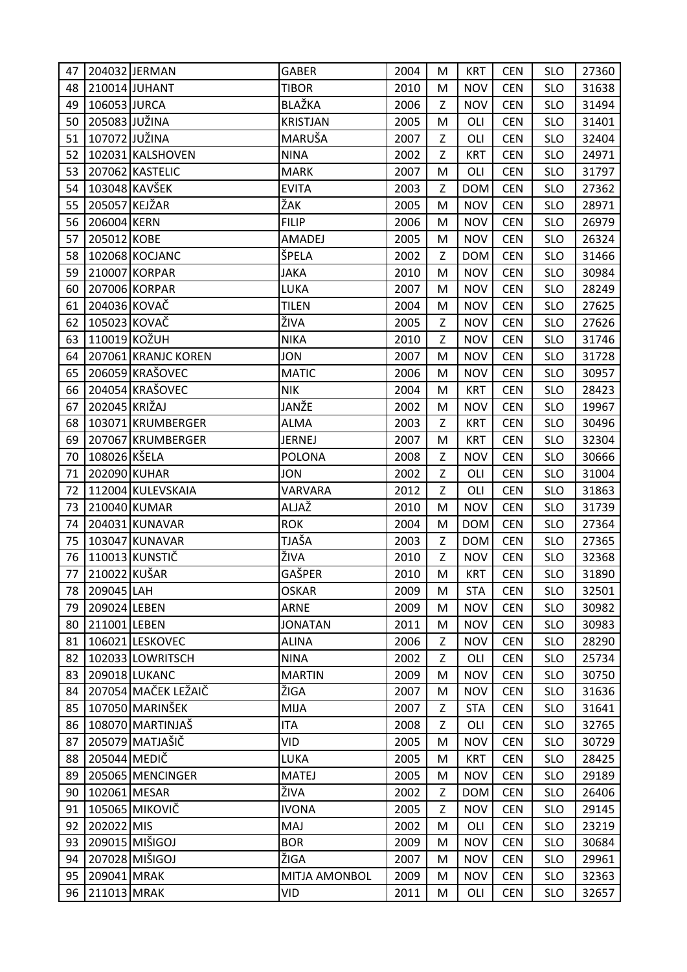| 47 |               | 204032 JERMAN       | <b>GABER</b>    | 2004 | м | <b>KRT</b> | <b>CEN</b> | <b>SLO</b> | 27360 |
|----|---------------|---------------------|-----------------|------|---|------------|------------|------------|-------|
| 48 |               | 210014 JUHANT       | <b>TIBOR</b>    | 2010 | M | <b>NOV</b> | <b>CEN</b> | <b>SLO</b> | 31638 |
| 49 | 106053 JURCA  |                     | BLAŽKA          | 2006 | Z | <b>NOV</b> | <b>CEN</b> | <b>SLO</b> | 31494 |
| 50 | 205083 JUŽINA |                     | <b>KRISTJAN</b> | 2005 | M | OLI        | <b>CEN</b> | <b>SLO</b> | 31401 |
| 51 | 107072 JUŽINA |                     | MARUŠA          | 2007 | Z | OLI        | <b>CEN</b> | <b>SLO</b> | 32404 |
| 52 |               | 102031 KALSHOVEN    | <b>NINA</b>     | 2002 | Z | <b>KRT</b> | <b>CEN</b> | <b>SLO</b> | 24971 |
| 53 |               | 207062 KASTELIC     | <b>MARK</b>     | 2007 | M | OLI        | <b>CEN</b> | <b>SLO</b> | 31797 |
| 54 | 103048 KAVŠEK |                     | <b>EVITA</b>    | 2003 | Z | <b>DOM</b> | <b>CEN</b> | <b>SLO</b> | 27362 |
| 55 | 205057 KEJŽAR |                     | ŽAK             | 2005 | M | <b>NOV</b> | <b>CEN</b> | <b>SLO</b> | 28971 |
| 56 | 206004 KERN   |                     | <b>FILIP</b>    | 2006 | M | <b>NOV</b> | <b>CEN</b> | <b>SLO</b> | 26979 |
| 57 | 205012 KOBE   |                     | AMADEJ          | 2005 | M | <b>NOV</b> | <b>CEN</b> | <b>SLO</b> | 26324 |
| 58 |               | 102068 KOCJANC      | ŠPELA           | 2002 | Z | <b>DOM</b> | <b>CEN</b> | <b>SLO</b> | 31466 |
| 59 |               | 210007 KORPAR       | <b>JAKA</b>     | 2010 | M | <b>NOV</b> | <b>CEN</b> | <b>SLO</b> | 30984 |
| 60 |               | 207006 KORPAR       | LUKA            | 2007 | M | <b>NOV</b> | <b>CEN</b> | <b>SLO</b> | 28249 |
| 61 | 204036 KOVAČ  |                     | <b>TILEN</b>    | 2004 | M | <b>NOV</b> | <b>CEN</b> | <b>SLO</b> | 27625 |
| 62 | 105023 KOVAČ  |                     | ŽIVA            | 2005 | Z | <b>NOV</b> | <b>CEN</b> | SLO        | 27626 |
| 63 | 110019 KOŽUH  |                     | <b>NIKA</b>     | 2010 | Z | <b>NOV</b> | <b>CEN</b> | <b>SLO</b> | 31746 |
| 64 |               | 207061 KRANJC KOREN | <b>JON</b>      | 2007 | M | <b>NOV</b> | <b>CEN</b> | <b>SLO</b> | 31728 |
| 65 |               | 206059 KRAŠOVEC     | <b>MATIC</b>    | 2006 | M | <b>NOV</b> | <b>CEN</b> | <b>SLO</b> | 30957 |
| 66 |               | 204054 KRAŠOVEC     | <b>NIK</b>      | 2004 | M | <b>KRT</b> | <b>CEN</b> | <b>SLO</b> | 28423 |
| 67 | 202045 KRIŽAJ |                     | JANŽE           | 2002 | M | <b>NOV</b> | <b>CEN</b> | <b>SLO</b> | 19967 |
| 68 |               | 103071 KRUMBERGER   | <b>ALMA</b>     | 2003 | Z | <b>KRT</b> | <b>CEN</b> | <b>SLO</b> | 30496 |
| 69 |               | 207067 KRUMBERGER   | <b>JERNEJ</b>   | 2007 | M | <b>KRT</b> | <b>CEN</b> | <b>SLO</b> | 32304 |
| 70 | 108026 KŠELA  |                     | <b>POLONA</b>   | 2008 | Z | <b>NOV</b> | <b>CEN</b> | <b>SLO</b> | 30666 |
| 71 | 202090 KUHAR  |                     | <b>JON</b>      | 2002 | Z | OLI        | <b>CEN</b> | <b>SLO</b> | 31004 |
| 72 |               | 112004 KULEVSKAIA   | VARVARA         | 2012 | Z | OLI        | <b>CEN</b> | <b>SLO</b> | 31863 |
| 73 | 210040 KUMAR  |                     | ALJAŽ           | 2010 | M | <b>NOV</b> | <b>CEN</b> | <b>SLO</b> | 31739 |
| 74 |               | 204031 KUNAVAR      | <b>ROK</b>      | 2004 | M | <b>DOM</b> | <b>CEN</b> | <b>SLO</b> | 27364 |
| 75 |               | 103047 KUNAVAR      | TJAŠA           | 2003 | Z | <b>DOM</b> | <b>CEN</b> | <b>SLO</b> | 27365 |
| 76 |               | 110013 KUNSTIČ      | ŽIVA            | 2010 | Z | <b>NOV</b> | <b>CEN</b> | <b>SLO</b> | 32368 |
| 77 | 210022 KUŠAR  |                     | GAŠPER          | 2010 | M | <b>KRT</b> | <b>CEN</b> | <b>SLO</b> | 31890 |
| 78 | 209045 LAH    |                     | <b>OSKAR</b>    | 2009 | M | <b>STA</b> | <b>CEN</b> | <b>SLO</b> | 32501 |
| 79 | 209024 LEBEN  |                     | <b>ARNE</b>     | 2009 | M | <b>NOV</b> | <b>CEN</b> | <b>SLO</b> | 30982 |
| 80 | 211001 LEBEN  |                     | <b>JONATAN</b>  | 2011 | M | <b>NOV</b> | <b>CEN</b> | <b>SLO</b> | 30983 |
| 81 |               | 106021 LESKOVEC     | <b>ALINA</b>    | 2006 | Z | <b>NOV</b> | <b>CEN</b> | <b>SLO</b> | 28290 |
| 82 |               | 102033 LOWRITSCH    | <b>NINA</b>     | 2002 | Z | OLI        | <b>CEN</b> | <b>SLO</b> | 25734 |
| 83 |               | 209018 LUKANC       | <b>MARTIN</b>   | 2009 | M | <b>NOV</b> | <b>CEN</b> | <b>SLO</b> | 30750 |
| 84 |               | 207054 MAČEK LEŽAIČ | ŽIGA            | 2007 | M | <b>NOV</b> | <b>CEN</b> | <b>SLO</b> | 31636 |
| 85 |               | 107050 MARINŠEK     | <b>MIJA</b>     | 2007 | Z | <b>STA</b> | <b>CEN</b> | <b>SLO</b> | 31641 |
| 86 |               | 108070 MARTINJAŠ    | <b>ITA</b>      | 2008 | Z | OLI        | <b>CEN</b> | <b>SLO</b> | 32765 |
| 87 |               | 205079 MATJAŠIČ     | VID             | 2005 | M | <b>NOV</b> | <b>CEN</b> | <b>SLO</b> | 30729 |
| 88 | 205044 MEDIČ  |                     | LUKA            | 2005 | M | <b>KRT</b> | <b>CEN</b> | <b>SLO</b> | 28425 |
| 89 |               | 205065 MENCINGER    | <b>MATEJ</b>    | 2005 | M | <b>NOV</b> | <b>CEN</b> | <b>SLO</b> | 29189 |
| 90 | 102061 MESAR  |                     | ŽIVA            | 2002 | Z | <b>DOM</b> | <b>CEN</b> | <b>SLO</b> | 26406 |
| 91 |               | 105065 MIKOVIČ      | <b>IVONA</b>    | 2005 | Z | <b>NOV</b> | <b>CEN</b> | <b>SLO</b> | 29145 |
| 92 | 202022 MIS    |                     | MAJ             | 2002 | M | OLI        | <b>CEN</b> | <b>SLO</b> | 23219 |
| 93 |               | 209015 MIŠIGOJ      | <b>BOR</b>      | 2009 | M | <b>NOV</b> | <b>CEN</b> | <b>SLO</b> | 30684 |
| 94 |               | 207028 MIŠIGOJ      | ŽIGA            | 2007 | M | <b>NOV</b> | <b>CEN</b> | <b>SLO</b> | 29961 |
| 95 | 209041 MRAK   |                     | MITJA AMONBOL   | 2009 | M | <b>NOV</b> | <b>CEN</b> | <b>SLO</b> | 32363 |
| 96 | 211013 MRAK   |                     | VID             | 2011 | M | OLI        | <b>CEN</b> | <b>SLO</b> | 32657 |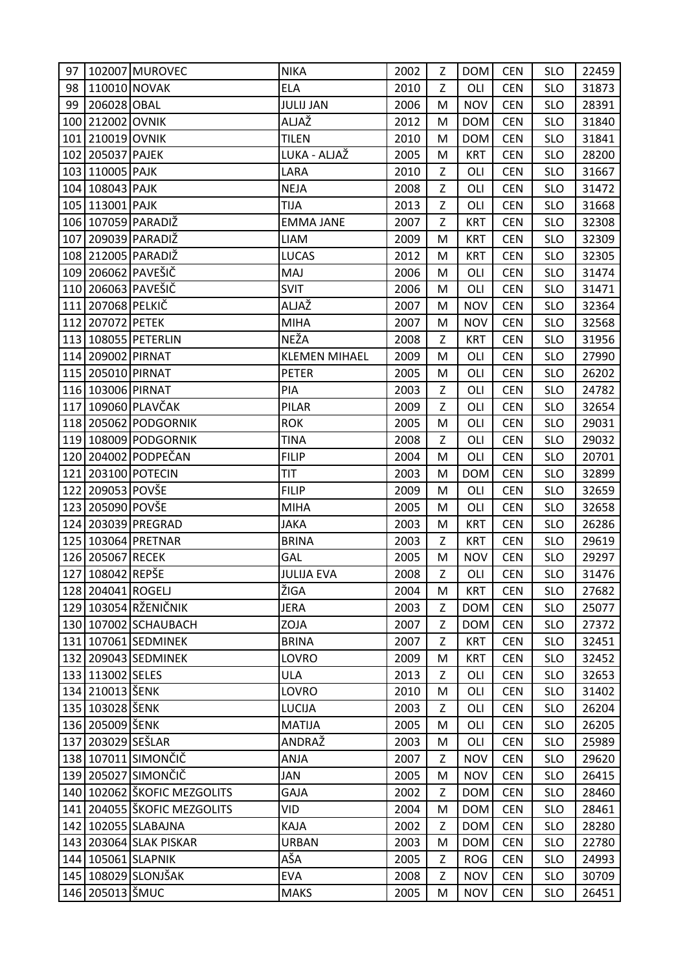| 97  |                   | 102007 MUROVEC              | <b>NIKA</b>          | 2002 | Z | <b>DOM</b> | <b>CEN</b> | <b>SLO</b> | 22459 |
|-----|-------------------|-----------------------------|----------------------|------|---|------------|------------|------------|-------|
| 98  | 110010 NOVAK      |                             | <b>ELA</b>           | 2010 | Z | OLI        | <b>CEN</b> | <b>SLO</b> | 31873 |
| 99  | 206028 OBAL       |                             | <b>JULIJ JAN</b>     | 2006 | M | <b>NOV</b> | <b>CEN</b> | <b>SLO</b> | 28391 |
| 100 | 212002 OVNIK      |                             | ALJAŽ                | 2012 | M | <b>DOM</b> | <b>CEN</b> | <b>SLO</b> | 31840 |
|     | 101 210019 OVNIK  |                             | <b>TILEN</b>         | 2010 | M | <b>DOM</b> | <b>CEN</b> | <b>SLO</b> | 31841 |
|     | 102 205037 PAJEK  |                             | LUKA - ALJAŽ         | 2005 | M | <b>KRT</b> | <b>CEN</b> | <b>SLO</b> | 28200 |
|     | 103 110005 PAJK   |                             | LARA                 | 2010 | Z | OLI        | <b>CEN</b> | <b>SLO</b> | 31667 |
|     | 104 108043 PAJK   |                             | <b>NEJA</b>          | 2008 | Z | OLI        | <b>CEN</b> | <b>SLO</b> | 31472 |
|     | 105 113001 PAJK   |                             | <b>TIJA</b>          | 2013 | Z | OLI        | <b>CEN</b> | <b>SLO</b> | 31668 |
|     |                   | 106 107059 PARADIŽ          | <b>EMMA JANE</b>     | 2007 | Z | <b>KRT</b> | <b>CEN</b> | <b>SLO</b> | 32308 |
|     |                   | 107 209039 PARADIŽ          | LIAM                 | 2009 | M | <b>KRT</b> | <b>CEN</b> | <b>SLO</b> | 32309 |
|     |                   | 108 212005 PARADIŽ          | <b>LUCAS</b>         | 2012 | M | <b>KRT</b> | <b>CEN</b> | <b>SLO</b> | 32305 |
|     |                   | 109 206062 PAVEŠIČ          | MAJ                  | 2006 | M | OLI        | <b>CEN</b> | <b>SLO</b> | 31474 |
|     |                   | 110 206063 PAVEŠIČ          | <b>SVIT</b>          | 2006 | M | OLI        | <b>CEN</b> | <b>SLO</b> | 31471 |
|     | 111 207068 PELKIČ |                             | ALJAŽ                | 2007 | M | <b>NOV</b> | <b>CEN</b> | <b>SLO</b> | 32364 |
|     | 112 207072 PETEK  |                             | <b>MIHA</b>          | 2007 | M | <b>NOV</b> | <b>CEN</b> | <b>SLO</b> | 32568 |
|     |                   | 113 108055 PETERLIN         | NEŽA                 | 2008 | Z | <b>KRT</b> | <b>CEN</b> | <b>SLO</b> | 31956 |
|     | 114 209002 PIRNAT |                             | <b>KLEMEN MIHAEL</b> | 2009 | M | OLI        | <b>CEN</b> | <b>SLO</b> | 27990 |
|     | 115 205010 PIRNAT |                             | <b>PETER</b>         | 2005 | M | OLI        | <b>CEN</b> | <b>SLO</b> | 26202 |
|     | 116 103006 PIRNAT |                             | PIA                  | 2003 | Z | OLI        | <b>CEN</b> | <b>SLO</b> | 24782 |
|     |                   | 117 109060 PLAVČAK          | PILAR                | 2009 | Z | OLI        | <b>CEN</b> | <b>SLO</b> | 32654 |
|     |                   | 118 205062 PODGORNIK        | <b>ROK</b>           | 2005 | M | OLI        | <b>CEN</b> | <b>SLO</b> | 29031 |
|     |                   | 119 108009 PODGORNIK        | <b>TINA</b>          | 2008 | Z | OLI        | <b>CEN</b> | <b>SLO</b> | 29032 |
|     |                   | 120 204002 PODPEČAN         | <b>FILIP</b>         | 2004 | M | OLI        | <b>CEN</b> | <b>SLO</b> | 20701 |
|     |                   | 121 203100 POTECIN          | <b>TIT</b>           | 2003 | M | <b>DOM</b> | <b>CEN</b> | <b>SLO</b> | 32899 |
|     | 122 209053 POVŠE  |                             | <b>FILIP</b>         | 2009 | M | OLI        | <b>CEN</b> | <b>SLO</b> | 32659 |
|     | 123 205090 POVŠE  |                             | <b>MIHA</b>          | 2005 | M | OLI        | <b>CEN</b> | <b>SLO</b> | 32658 |
|     |                   | 124 203039 PREGRAD          | <b>JAKA</b>          | 2003 | M | <b>KRT</b> | <b>CEN</b> | <b>SLO</b> | 26286 |
|     |                   | 125 103064 PRETNAR          | <b>BRINA</b>         | 2003 | Z | <b>KRT</b> | <b>CEN</b> | <b>SLO</b> | 29619 |
|     | 126 205067 RECEK  |                             | GAL                  | 2005 | M | <b>NOV</b> | <b>CEN</b> | <b>SLO</b> | 29297 |
|     | 127 108042 REPŠE  |                             | <b>JULIJA EVA</b>    | 2008 | Z | OLI        | <b>CEN</b> | <b>SLO</b> | 31476 |
|     | 128 204041 ROGELJ |                             | ŽIGA                 | 2004 | M | <b>KRT</b> | <b>CEN</b> | <b>SLO</b> | 27682 |
|     |                   | 129 103054 RŽENIČNIK        | <b>JERA</b>          | 2003 | Z | <b>DOM</b> | <b>CEN</b> | <b>SLO</b> | 25077 |
|     |                   | 130 107002 SCHAUBACH        | ZOJA                 | 2007 | Z | <b>DOM</b> | <b>CEN</b> | <b>SLO</b> | 27372 |
|     |                   | 131 107061 SEDMINEK         | <b>BRINA</b>         | 2007 | Z | <b>KRT</b> | <b>CEN</b> | <b>SLO</b> | 32451 |
| 132 |                   | 209043 SEDMINEK             | LOVRO                | 2009 | M | <b>KRT</b> | <b>CEN</b> | <b>SLO</b> | 32452 |
|     | 133 113002 SELES  |                             | <b>ULA</b>           | 2013 | Z | OLI        | <b>CEN</b> | <b>SLO</b> | 32653 |
|     | 134 210013 ŠENK   |                             | LOVRO                | 2010 | M | OLI        | <b>CEN</b> | <b>SLO</b> | 31402 |
|     | 135 103028 ŠENK   |                             | LUCIJA               | 2003 | Z | OLI        | <b>CEN</b> | <b>SLO</b> | 26204 |
|     | 136 205009 ŠENK   |                             | <b>MATIJA</b>        | 2005 | M | OLI        | <b>CEN</b> | <b>SLO</b> | 26205 |
| 137 | 203029 SEŠLAR     |                             | ANDRAŽ               | 2003 | M | OLI        | <b>CEN</b> | <b>SLO</b> | 25989 |
|     |                   | 138 107011 SIMONČIČ         | ANJA                 | 2007 | Z | <b>NOV</b> | <b>CEN</b> | <b>SLO</b> | 29620 |
|     |                   | 139 205027 SIMONČIČ         | JAN                  | 2005 | M | <b>NOV</b> | <b>CEN</b> | <b>SLO</b> | 26415 |
|     |                   | 140 102062 ŠKOFIC MEZGOLITS | <b>GAJA</b>          | 2002 | Z | <b>DOM</b> | <b>CEN</b> | <b>SLO</b> | 28460 |
|     |                   | 141 204055 ŠKOFIC MEZGOLITS | VID                  | 2004 | M | <b>DOM</b> | <b>CEN</b> | <b>SLO</b> | 28461 |
|     |                   | 142 102055 SLABAJNA         | KAJA                 | 2002 | Z | <b>DOM</b> | <b>CEN</b> | <b>SLO</b> | 28280 |
|     |                   | 143 203064 SLAK PISKAR      | <b>URBAN</b>         | 2003 | M | <b>DOM</b> | <b>CEN</b> | <b>SLO</b> | 22780 |
|     |                   | 144 105061 SLAPNIK          | AŠA                  | 2005 | Z | <b>ROG</b> | <b>CEN</b> | <b>SLO</b> | 24993 |
|     |                   | 145 108029 SLONJŠAK         | <b>EVA</b>           | 2008 | Z | <b>NOV</b> | <b>CEN</b> | <b>SLO</b> | 30709 |
|     | 146 205013 ŠMUC   |                             | <b>MAKS</b>          | 2005 | M | <b>NOV</b> | <b>CEN</b> | <b>SLO</b> | 26451 |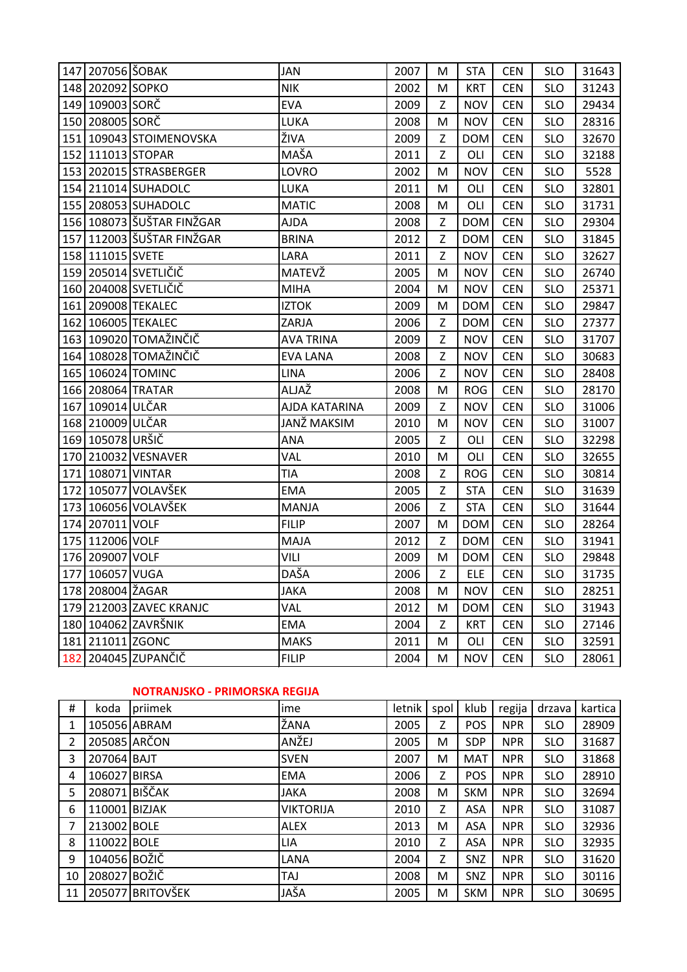|     | 147 207056 ŠOBAK  |                           | <b>JAN</b>         | 2007 | M | <b>STA</b> | <b>CEN</b> | <b>SLO</b> | 31643 |
|-----|-------------------|---------------------------|--------------------|------|---|------------|------------|------------|-------|
|     | 148 202092 SOPKO  |                           | <b>NIK</b>         | 2002 | M | <b>KRT</b> | <b>CEN</b> | <b>SLO</b> | 31243 |
|     | 149 109003 SORČ   |                           | <b>EVA</b>         | 2009 | Z | <b>NOV</b> | <b>CEN</b> | <b>SLO</b> | 29434 |
|     | 150 208005 SORČ   |                           | LUKA               | 2008 | M | <b>NOV</b> | <b>CEN</b> | <b>SLO</b> | 28316 |
|     |                   | 151 109043 STOIMENOVSKA   | ŽIVA               | 2009 | Z | <b>DOM</b> | <b>CEN</b> | <b>SLO</b> | 32670 |
|     | 152 111013 STOPAR |                           | MAŠA               | 2011 | Z | OLI        | <b>CEN</b> | <b>SLO</b> | 32188 |
|     |                   | 153 202015 STRASBERGER    | LOVRO              | 2002 | M | <b>NOV</b> | <b>CEN</b> | <b>SLO</b> | 5528  |
|     |                   | 154 211014 SUHADOLC       | LUKA               | 2011 | M | OLI        | <b>CEN</b> | <b>SLO</b> | 32801 |
|     |                   | 155 208053 SUHADOLC       | <b>MATIC</b>       | 2008 | M | OLI        | <b>CEN</b> | <b>SLO</b> | 31731 |
|     |                   | 156 108073 ŠUŠTAR FINŽGAR | <b>AJDA</b>        | 2008 | Z | <b>DOM</b> | <b>CEN</b> | <b>SLO</b> | 29304 |
|     |                   | 157 112003 ŠUŠTAR FINŽGAR | <b>BRINA</b>       | 2012 | Z | <b>DOM</b> | <b>CEN</b> | <b>SLO</b> | 31845 |
|     | 158 111015 SVETE  |                           | LARA               | 2011 | Z | <b>NOV</b> | <b>CEN</b> | <b>SLO</b> | 32627 |
|     |                   | 159 205014 SVETLIČIČ      | MATEVŽ             | 2005 | M | <b>NOV</b> | <b>CEN</b> | <b>SLO</b> | 26740 |
|     |                   | 160 204008 SVETLIČIČ      | <b>MIHA</b>        | 2004 | M | <b>NOV</b> | <b>CEN</b> | <b>SLO</b> | 25371 |
|     |                   | 161 209008 TEKALEC        | <b>IZTOK</b>       | 2009 | M | <b>DOM</b> | <b>CEN</b> | <b>SLO</b> | 29847 |
|     |                   | 162 106005 TEKALEC        | ZARJA              | 2006 | Z | <b>DOM</b> | <b>CEN</b> | <b>SLO</b> | 27377 |
|     |                   | 163 109020 TOMAŽINČIČ     | <b>AVA TRINA</b>   | 2009 | Z | <b>NOV</b> | <b>CEN</b> | <b>SLO</b> | 31707 |
|     |                   | 164 108028 TOMAŽINČIČ     | <b>EVA LANA</b>    | 2008 | Z | <b>NOV</b> | <b>CEN</b> | <b>SLO</b> | 30683 |
|     |                   | 165 106024 TOMINC         | <b>LINA</b>        | 2006 | Z | <b>NOV</b> | <b>CEN</b> | <b>SLO</b> | 28408 |
|     | 166 208064 TRATAR |                           | ALJAŽ              | 2008 | M | <b>ROG</b> | <b>CEN</b> | <b>SLO</b> | 28170 |
|     | 167 109014 ULČAR  |                           | AJDA KATARINA      | 2009 | Z | <b>NOV</b> | <b>CEN</b> | <b>SLO</b> | 31006 |
|     | 168 210009 ULČAR  |                           | <b>JANŽ MAKSIM</b> | 2010 | M | <b>NOV</b> | <b>CEN</b> | <b>SLO</b> | 31007 |
|     | 169 105078 URŠIČ  |                           | ANA                | 2005 | Z | OLI        | <b>CEN</b> | <b>SLO</b> | 32298 |
|     |                   | 170 210032 VESNAVER       | VAL                | 2010 | M | OLI        | <b>CEN</b> | <b>SLO</b> | 32655 |
|     | 171 108071 VINTAR |                           | TIA                | 2008 | Z | <b>ROG</b> | <b>CEN</b> | <b>SLO</b> | 30814 |
|     |                   | 172 105077 VOLAVŠEK       | <b>EMA</b>         | 2005 | Z | <b>STA</b> | <b>CEN</b> | <b>SLO</b> | 31639 |
|     |                   | 173 106056 VOLAVŠEK       | <b>MANJA</b>       | 2006 | Z | <b>STA</b> | <b>CEN</b> | <b>SLO</b> | 31644 |
|     | 174 207011 VOLF   |                           | <b>FILIP</b>       | 2007 | M | <b>DOM</b> | <b>CEN</b> | <b>SLO</b> | 28264 |
|     | 175 112006 VOLF   |                           | MAJA               | 2012 | Ζ | <b>DOM</b> | <b>CEN</b> | <b>SLO</b> | 31941 |
|     | 176 209007 VOLF   |                           | VILI               | 2009 | M | <b>DOM</b> | <b>CEN</b> | <b>SLO</b> | 29848 |
|     | 177 106057 VUGA   |                           | DAŠA               | 2006 | Z | <b>ELE</b> | <b>CEN</b> | <b>SLO</b> | 31735 |
|     | 178 208004 ŽAGAR  |                           | <b>JAKA</b>        | 2008 | M | <b>NOV</b> | <b>CEN</b> | <b>SLO</b> | 28251 |
|     |                   | 179 212003 ZAVEC KRANJC   | VAL                | 2012 | M | <b>DOM</b> | <b>CEN</b> | <b>SLO</b> | 31943 |
|     |                   | 180 104062 ZAVRŠNIK       | <b>EMA</b>         | 2004 | Z | <b>KRT</b> | <b>CEN</b> | <b>SLO</b> | 27146 |
|     | 181 211011 ZGONC  |                           | <b>MAKS</b>        | 2011 | M | OLI        | <b>CEN</b> | <b>SLO</b> | 32591 |
| 182 |                   | 204045 ZUPANČIČ           | <b>FILIP</b>       | 2004 | M | <b>NOV</b> | <b>CEN</b> | <b>SLO</b> | 28061 |

# **NOTRANJSKO - PRIMORSKA REGIJA**

| Ħ.             | koda          | priimek          | ime              | letnik | spol | klub       | regija     | drzava     | kartica |
|----------------|---------------|------------------|------------------|--------|------|------------|------------|------------|---------|
| 1              | 105056 ABRAM  |                  | ŽANA             | 2005   | Z    | <b>POS</b> | <b>NPR</b> | <b>SLO</b> | 28909   |
| 2              | 205085 ARČON  |                  | ANŽEJ            | 2005   | М    | <b>SDP</b> | <b>NPR</b> | <b>SLO</b> | 31687   |
| 3              | 207064 BAJT   |                  | <b>SVEN</b>      | 2007   | м    | MAT        | <b>NPR</b> | <b>SLO</b> | 31868   |
| 4              | 106027 BIRSA  |                  | <b>EMA</b>       | 2006   | Z    | <b>POS</b> | <b>NPR</b> | <b>SLO</b> | 28910   |
| 5              | 208071 BIŠČAK |                  | <b>JAKA</b>      | 2008   | M    | <b>SKM</b> | <b>NPR</b> | <b>SLO</b> | 32694   |
| 6              | 110001 BIZJAK |                  | <b>VIKTORIJA</b> | 2010   | Ζ    | <b>ASA</b> | <b>NPR</b> | <b>SLO</b> | 31087   |
| $\overline{7}$ | 213002 BOLE   |                  | <b>ALEX</b>      | 2013   | М    | <b>ASA</b> | <b>NPR</b> | <b>SLO</b> | 32936   |
| 8              | 110022 BOLE   |                  | LIA              | 2010   | Z    | <b>ASA</b> | <b>NPR</b> | <b>SLO</b> | 32935   |
| 9              | 104056 BOŽIČ  |                  | LANA             | 2004   | Z    | SNZ        | <b>NPR</b> | <b>SLO</b> | 31620   |
| 10             | 208027 BOŽIČ  |                  | TAJ              | 2008   | M    | SNZ        | <b>NPR</b> | <b>SLO</b> | 30116   |
| 11             |               | 205077 BRITOVŠEK | JAŠA             | 2005   | M    | <b>SKM</b> | <b>NPR</b> | <b>SLO</b> | 30695   |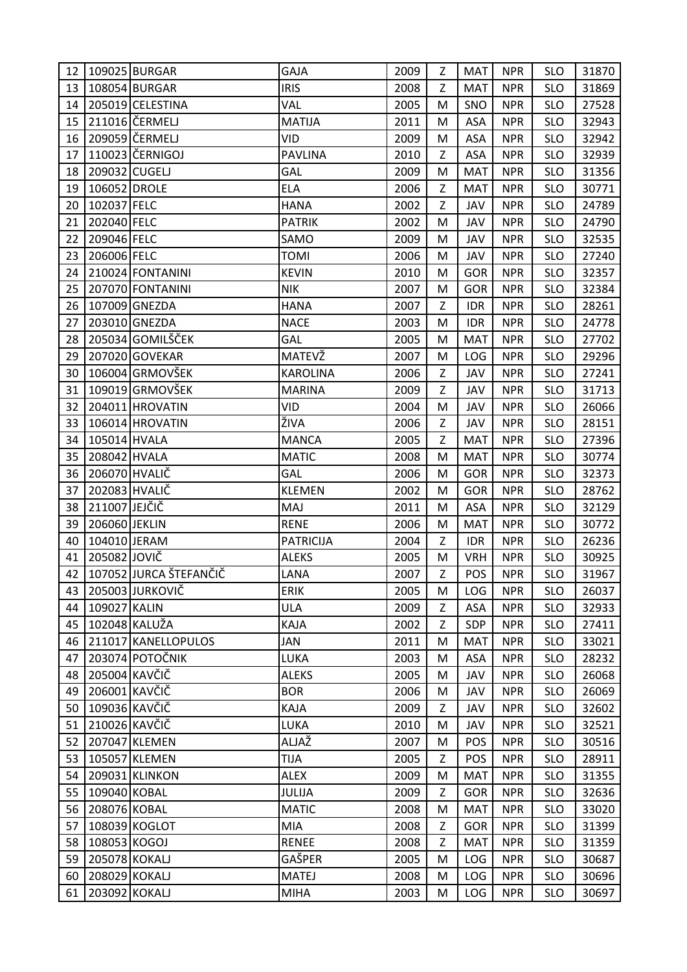| 12 |               | 109025 BURGAR             | <b>GAJA</b>      | 2009 | Z | MAT        | <b>NPR</b> | <b>SLO</b> | 31870 |
|----|---------------|---------------------------|------------------|------|---|------------|------------|------------|-------|
| 13 |               | 108054 BURGAR             | <b>IRIS</b>      | 2008 | Z | <b>MAT</b> | <b>NPR</b> | <b>SLO</b> | 31869 |
| 14 |               | 205019 CELESTINA          | VAL              | 2005 | M | SNO        | <b>NPR</b> | <b>SLO</b> | 27528 |
| 15 |               | 211016 ČERMELJ            | <b>MATIJA</b>    | 2011 | M | <b>ASA</b> | <b>NPR</b> | <b>SLO</b> | 32943 |
| 16 |               | 209059 ČERMELJ            | <b>VID</b>       | 2009 | M | ASA        | <b>NPR</b> | <b>SLO</b> | 32942 |
| 17 |               | 110023 ČERNIGOJ           | <b>PAVLINA</b>   | 2010 | Z | ASA        | <b>NPR</b> | <b>SLO</b> | 32939 |
| 18 | 209032 CUGELJ |                           | GAL              | 2009 | M | <b>MAT</b> | <b>NPR</b> | <b>SLO</b> | 31356 |
| 19 | 106052 DROLE  |                           | <b>ELA</b>       | 2006 | Z | <b>MAT</b> | <b>NPR</b> | <b>SLO</b> | 30771 |
| 20 | 102037 FELC   |                           | <b>HANA</b>      | 2002 | Z | <b>JAV</b> | <b>NPR</b> | <b>SLO</b> | 24789 |
| 21 | 202040 FELC   |                           | <b>PATRIK</b>    | 2002 | M | JAV        | <b>NPR</b> | <b>SLO</b> | 24790 |
| 22 | 209046 FELC   |                           | SAMO             | 2009 | M | JAV        | <b>NPR</b> | <b>SLO</b> | 32535 |
| 23 | 206006 FELC   |                           | <b>TOMI</b>      | 2006 | M | JAV        | <b>NPR</b> | <b>SLO</b> | 27240 |
| 24 |               | 210024 FONTANINI          | <b>KEVIN</b>     | 2010 | M | <b>GOR</b> | <b>NPR</b> | <b>SLO</b> | 32357 |
| 25 |               | 207070 FONTANINI          | <b>NIK</b>       | 2007 | M | <b>GOR</b> | <b>NPR</b> | <b>SLO</b> | 32384 |
| 26 |               | 107009 GNEZDA             | <b>HANA</b>      | 2007 | Z | <b>IDR</b> | <b>NPR</b> | <b>SLO</b> | 28261 |
| 27 |               | 203010 GNEZDA             | <b>NACE</b>      | 2003 | M | <b>IDR</b> | <b>NPR</b> | <b>SLO</b> | 24778 |
| 28 |               | 205034 GOMILŠČEK          | GAL              | 2005 | M | <b>MAT</b> | <b>NPR</b> | <b>SLO</b> | 27702 |
| 29 |               | 207020 GOVEKAR            | MATEVŽ           | 2007 | M | LOG        | <b>NPR</b> | <b>SLO</b> | 29296 |
| 30 |               | 106004 GRMOVŠEK           | <b>KAROLINA</b>  | 2006 | Z | JAV        | <b>NPR</b> | <b>SLO</b> | 27241 |
| 31 |               | 109019 GRMOVŠEK           | <b>MARINA</b>    | 2009 | Z | JAV        | <b>NPR</b> | <b>SLO</b> | 31713 |
| 32 |               | 204011 HROVATIN           | VID              | 2004 | M | JAV        | <b>NPR</b> | <b>SLO</b> | 26066 |
| 33 |               | 106014 HROVATIN           | ŽIVA             | 2006 | Z | JAV        | <b>NPR</b> | <b>SLO</b> | 28151 |
| 34 | 105014 HVALA  |                           | <b>MANCA</b>     | 2005 | Z | <b>MAT</b> | <b>NPR</b> | <b>SLO</b> | 27396 |
| 35 | 208042 HVALA  |                           | <b>MATIC</b>     | 2008 | M | <b>MAT</b> | <b>NPR</b> | <b>SLO</b> | 30774 |
| 36 | 206070 HVALIČ |                           | GAL              | 2006 | M | <b>GOR</b> | <b>NPR</b> | <b>SLO</b> | 32373 |
| 37 | 202083 HVALIČ |                           | <b>KLEMEN</b>    | 2002 | M | <b>GOR</b> | <b>NPR</b> | <b>SLO</b> | 28762 |
| 38 | 211007 JEJČIČ |                           | MAJ              | 2011 | M | ASA        | <b>NPR</b> | <b>SLO</b> | 32129 |
| 39 | 206060 JEKLIN |                           | <b>RENE</b>      | 2006 | M | <b>MAT</b> | <b>NPR</b> | <b>SLO</b> | 30772 |
| 40 | 104010 JERAM  |                           | <b>PATRICIJA</b> | 2004 | Z | <b>IDR</b> | <b>NPR</b> | <b>SLO</b> | 26236 |
| 41 | 205082 JOVIČ  |                           | <b>ALEKS</b>     | 2005 | M | <b>VRH</b> | <b>NPR</b> | <b>SLO</b> | 30925 |
|    |               | 42 107052 JURCA ŠTEFANČIČ | LANA             | 2007 | Z | POS        | <b>NPR</b> | <b>SLO</b> | 31967 |
| 43 |               | 205003 JURKOVIČ           | <b>ERIK</b>      | 2005 | M | <b>LOG</b> | <b>NPR</b> | <b>SLO</b> | 26037 |
| 44 | 109027 KALIN  |                           | <b>ULA</b>       | 2009 | Z | ASA        | <b>NPR</b> | <b>SLO</b> | 32933 |
| 45 | 102048 KALUŽA |                           | KAJA             | 2002 | Z | SDP        | <b>NPR</b> | <b>SLO</b> | 27411 |
| 46 |               | 211017 KANELLOPULOS       | JAN              | 2011 | M | <b>MAT</b> | <b>NPR</b> | <b>SLO</b> | 33021 |
| 47 |               | 203074 POTOČNIK           | LUKA             | 2003 | M | ASA        | <b>NPR</b> | SLO        | 28232 |
| 48 | 205004 KAVČIČ |                           | <b>ALEKS</b>     | 2005 | M | JAV        | <b>NPR</b> | <b>SLO</b> | 26068 |
| 49 | 206001 KAVČIČ |                           | <b>BOR</b>       | 2006 | M | JAV        | <b>NPR</b> | <b>SLO</b> | 26069 |
| 50 | 109036 KAVČIČ |                           | KAJA             | 2009 | Z | JAV        | <b>NPR</b> | <b>SLO</b> | 32602 |
| 51 | 210026 KAVČIČ |                           | LUKA             | 2010 | M | JAV        | <b>NPR</b> | <b>SLO</b> | 32521 |
| 52 |               | 207047 KLEMEN             | ALJAŽ            | 2007 | M | POS        | <b>NPR</b> | <b>SLO</b> | 30516 |
| 53 |               | 105057 KLEMEN             | TIJA             | 2005 | Z | POS        | <b>NPR</b> | <b>SLO</b> | 28911 |
| 54 |               | 209031 KLINKON            | <b>ALEX</b>      | 2009 | M | <b>MAT</b> | <b>NPR</b> | <b>SLO</b> | 31355 |
| 55 | 109040 KOBAL  |                           | JULIJA           | 2009 | Z | <b>GOR</b> | <b>NPR</b> | <b>SLO</b> | 32636 |
| 56 | 208076 KOBAL  |                           | <b>MATIC</b>     | 2008 | M | <b>MAT</b> | <b>NPR</b> | <b>SLO</b> | 33020 |
| 57 |               | 108039 KOGLOT             | MIA              | 2008 | Z | GOR        | <b>NPR</b> | <b>SLO</b> | 31399 |
| 58 | 108053 KOGOJ  |                           | <b>RENEE</b>     | 2008 | Z | <b>MAT</b> | <b>NPR</b> | <b>SLO</b> | 31359 |
| 59 | 205078 KOKALJ |                           | GAŠPER           | 2005 | M | LOG        | <b>NPR</b> | <b>SLO</b> | 30687 |
| 60 | 208029 KOKALJ |                           | <b>MATEJ</b>     | 2008 | M | <b>LOG</b> | <b>NPR</b> | <b>SLO</b> | 30696 |
| 61 | 203092 KOKALJ |                           | <b>MIHA</b>      | 2003 | M | LOG        | <b>NPR</b> | <b>SLO</b> | 30697 |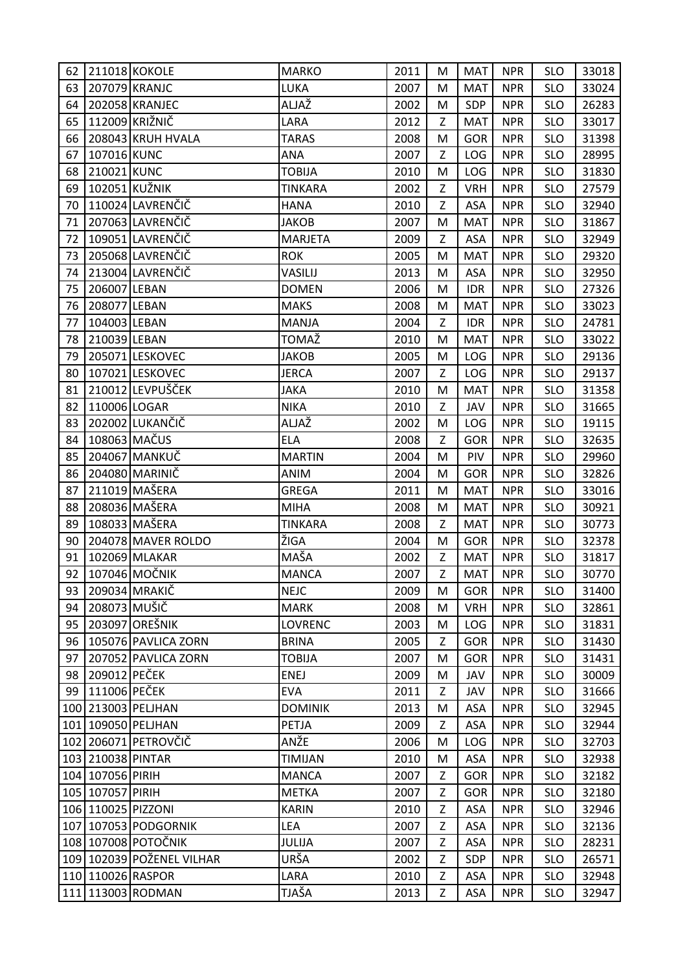| 62 |                    | 211018 KOKOLE             | <b>MARKO</b>   | 2011 | м | MAT        | <b>NPR</b> | <b>SLO</b> | 33018 |
|----|--------------------|---------------------------|----------------|------|---|------------|------------|------------|-------|
| 63 | 207079 KRANJC      |                           | LUKA           | 2007 | M | <b>MAT</b> | <b>NPR</b> | <b>SLO</b> | 33024 |
| 64 |                    | 202058 KRANJEC            | ALJAŽ          | 2002 | M | SDP        | <b>NPR</b> | <b>SLO</b> | 26283 |
| 65 |                    | 112009 KRIŽNIČ            | LARA           | 2012 | Z | <b>MAT</b> | <b>NPR</b> | <b>SLO</b> | 33017 |
| 66 |                    | 208043 KRUH HVALA         | <b>TARAS</b>   | 2008 | M | <b>GOR</b> | <b>NPR</b> | <b>SLO</b> | 31398 |
| 67 | 107016 KUNC        |                           | ANA            | 2007 | Z | LOG        | <b>NPR</b> | <b>SLO</b> | 28995 |
| 68 | 210021 KUNC        |                           | <b>TOBIJA</b>  | 2010 | M | LOG        | <b>NPR</b> | <b>SLO</b> | 31830 |
| 69 | 102051 KUŽNIK      |                           | <b>TINKARA</b> | 2002 | Z | <b>VRH</b> | <b>NPR</b> | <b>SLO</b> | 27579 |
| 70 |                    | 110024 LAVRENČIČ          | <b>HANA</b>    | 2010 | Z | <b>ASA</b> | <b>NPR</b> | <b>SLO</b> | 32940 |
| 71 |                    | 207063 LAVRENČIČ          | <b>JAKOB</b>   | 2007 | M | <b>MAT</b> | <b>NPR</b> | <b>SLO</b> | 31867 |
| 72 |                    | 109051 LAVRENČIČ          | <b>MARJETA</b> | 2009 | Z | ASA        | <b>NPR</b> | <b>SLO</b> | 32949 |
| 73 |                    | 205068 LAVRENČIČ          | <b>ROK</b>     | 2005 | M | <b>MAT</b> | <b>NPR</b> | <b>SLO</b> | 29320 |
| 74 |                    | 213004 LAVRENČIČ          | VASILIJ        | 2013 | M | <b>ASA</b> | <b>NPR</b> | <b>SLO</b> | 32950 |
| 75 | 206007 LEBAN       |                           | <b>DOMEN</b>   | 2006 | M | <b>IDR</b> | <b>NPR</b> | <b>SLO</b> | 27326 |
| 76 | 208077 LEBAN       |                           | <b>MAKS</b>    | 2008 | M | <b>MAT</b> | <b>NPR</b> | <b>SLO</b> | 33023 |
| 77 | 104003 LEBAN       |                           | <b>MANJA</b>   | 2004 | Z | <b>IDR</b> | <b>NPR</b> | <b>SLO</b> | 24781 |
| 78 | 210039 LEBAN       |                           | TOMAŽ          | 2010 | M | <b>MAT</b> | <b>NPR</b> | <b>SLO</b> | 33022 |
| 79 |                    | 205071 LESKOVEC           | <b>JAKOB</b>   | 2005 | M | LOG        | <b>NPR</b> | <b>SLO</b> | 29136 |
| 80 |                    | 107021 LESKOVEC           | <b>JERCA</b>   | 2007 | Z | <b>LOG</b> | <b>NPR</b> | <b>SLO</b> | 29137 |
| 81 |                    | 210012 LEVPUŠČEK          | <b>JAKA</b>    | 2010 | M | <b>MAT</b> | <b>NPR</b> | <b>SLO</b> | 31358 |
| 82 | 110006 LOGAR       |                           | <b>NIKA</b>    | 2010 | Z | JAV        | <b>NPR</b> | <b>SLO</b> | 31665 |
| 83 |                    | 202002 LUKANČIČ           | ALJAŽ          | 2002 | M | LOG        | <b>NPR</b> | <b>SLO</b> | 19115 |
| 84 | 108063 MAČUS       |                           | <b>ELA</b>     | 2008 | Z | <b>GOR</b> | <b>NPR</b> | <b>SLO</b> | 32635 |
| 85 |                    | 204067 MANKUČ             | <b>MARTIN</b>  | 2004 | M | <b>PIV</b> | <b>NPR</b> | <b>SLO</b> | 29960 |
| 86 |                    | 204080 MARINIČ            | <b>ANIM</b>    | 2004 | M | <b>GOR</b> | <b>NPR</b> | <b>SLO</b> | 32826 |
| 87 |                    | 211019 MAŠERA             | <b>GREGA</b>   | 2011 | M | <b>MAT</b> | <b>NPR</b> | <b>SLO</b> | 33016 |
| 88 |                    | 208036 MAŠERA             | <b>MIHA</b>    | 2008 | M | <b>MAT</b> | <b>NPR</b> | <b>SLO</b> | 30921 |
| 89 |                    | 108033 MAŠERA             | TINKARA        | 2008 | Z | <b>MAT</b> | <b>NPR</b> | <b>SLO</b> | 30773 |
| 90 |                    | 204078 MAVER ROLDO        | ŽIGA           | 2004 | M | GOR        | <b>NPR</b> | <b>SLO</b> | 32378 |
| 91 |                    | 102069 MLAKAR             | MAŠA           | 2002 | Z | <b>MAT</b> | <b>NPR</b> | <b>SLO</b> | 31817 |
| 92 |                    | 107046 MOČNIK             | <b>MANCA</b>   | 2007 | Z | <b>MAT</b> | <b>NPR</b> | <b>SLO</b> | 30770 |
| 93 |                    | 209034 MRAKIČ             | <b>NEJC</b>    | 2009 | M | <b>GOR</b> | <b>NPR</b> | <b>SLO</b> | 31400 |
| 94 | 208073 MUŠIČ       |                           | <b>MARK</b>    | 2008 | M | <b>VRH</b> | <b>NPR</b> | <b>SLO</b> | 32861 |
| 95 |                    | 203097 OREŠNIK            | <b>LOVRENC</b> | 2003 | M | LOG        | <b>NPR</b> | <b>SLO</b> | 31831 |
| 96 |                    | 105076 PAVLICA ZORN       | <b>BRINA</b>   | 2005 | Z | <b>GOR</b> | <b>NPR</b> | <b>SLO</b> | 31430 |
| 97 |                    | 207052 PAVLICA ZORN       | <b>TOBIJA</b>  | 2007 | M | <b>GOR</b> | <b>NPR</b> | <b>SLO</b> | 31431 |
| 98 | 209012 PEČEK       |                           | ENEJ           | 2009 | M | JAV        | <b>NPR</b> | <b>SLO</b> | 30009 |
| 99 | 111006 PEČEK       |                           | <b>EVA</b>     | 2011 | Z | JAV        | <b>NPR</b> | <b>SLO</b> | 31666 |
|    |                    | 100 213003 PELJHAN        | <b>DOMINIK</b> | 2013 | M | ASA        | <b>NPR</b> | <b>SLO</b> | 32945 |
|    |                    | 101 109050 PELJHAN        | <b>PETJA</b>   | 2009 | Z | ASA        | <b>NPR</b> | <b>SLO</b> | 32944 |
|    |                    | 102 206071 PETROVČIČ      | ANŽE           | 2006 | M | LOG        | <b>NPR</b> | <b>SLO</b> | 32703 |
|    | 103 210038 PINTAR  |                           | <b>TIMIJAN</b> | 2010 | M | ASA        | <b>NPR</b> | <b>SLO</b> | 32938 |
|    | 104 107056 PIRIH   |                           | <b>MANCA</b>   | 2007 | Z | <b>GOR</b> | <b>NPR</b> | <b>SLO</b> | 32182 |
|    | 105 107057 PIRIH   |                           | <b>METKA</b>   | 2007 | Z | <b>GOR</b> | <b>NPR</b> | <b>SLO</b> | 32180 |
|    | 106 110025 PIZZONI |                           | <b>KARIN</b>   | 2010 | Z | ASA        | <b>NPR</b> | <b>SLO</b> | 32946 |
|    |                    | 107 107053 PODGORNIK      | LEA            | 2007 | Z | <b>ASA</b> | <b>NPR</b> | <b>SLO</b> | 32136 |
|    |                    | 108 107008 POTOČNIK       | <b>JULIJA</b>  | 2007 | Z | ASA        | <b>NPR</b> | <b>SLO</b> | 28231 |
|    |                    | 109 102039 POŽENEL VILHAR | URŠA           | 2002 | Z | SDP        | <b>NPR</b> | <b>SLO</b> | 26571 |
|    |                    | 110 110026 RASPOR         | LARA           | 2010 | Z | <b>ASA</b> | <b>NPR</b> | <b>SLO</b> | 32948 |
|    |                    | 111 113003 RODMAN         | TJAŠA          | 2013 | Z | ASA        | <b>NPR</b> | SLO        | 32947 |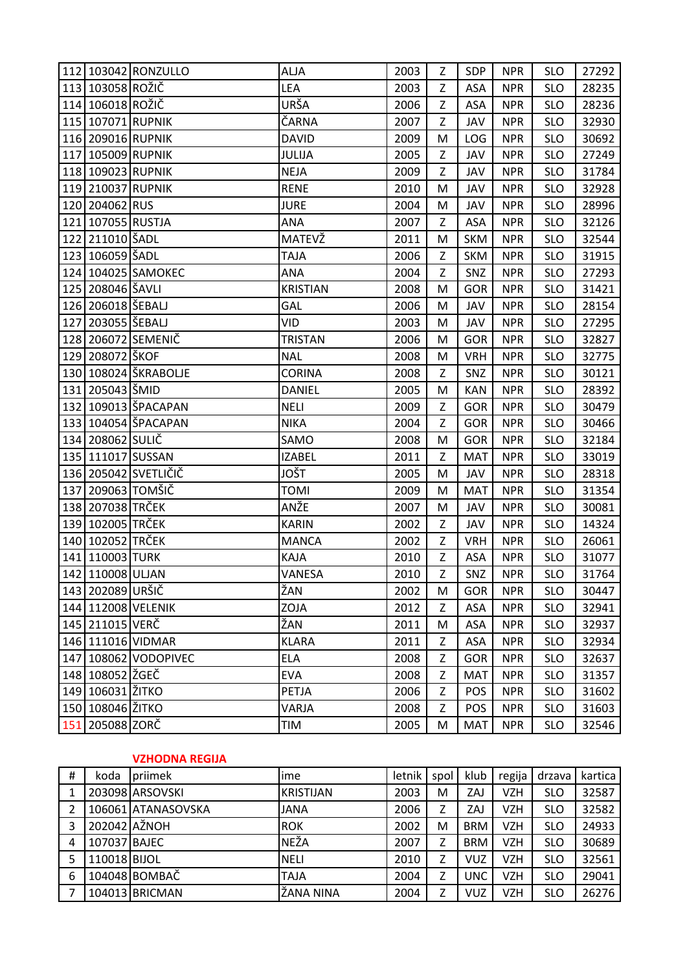|     |                   | 112 103042 RONZULLO  | <b>ALJA</b>     | 2003 | Z | SDP        | <b>NPR</b> | <b>SLO</b> | 27292 |
|-----|-------------------|----------------------|-----------------|------|---|------------|------------|------------|-------|
|     | 113 103058 ROŽIČ  |                      | LEA             | 2003 | Z | ASA        | <b>NPR</b> | <b>SLO</b> | 28235 |
|     | 114 106018 ROŽIČ  |                      | URŠA            | 2006 | Z | ASA        | <b>NPR</b> | <b>SLO</b> | 28236 |
|     | 115 107071 RUPNIK |                      | ČARNA           | 2007 | Z | JAV        | <b>NPR</b> | <b>SLO</b> | 32930 |
|     | 116 209016 RUPNIK |                      | <b>DAVID</b>    | 2009 | M | LOG        | <b>NPR</b> | <b>SLO</b> | 30692 |
|     | 117 105009 RUPNIK |                      | JULIJA          | 2005 | Z | JAV        | <b>NPR</b> | <b>SLO</b> | 27249 |
|     | 118 109023 RUPNIK |                      | <b>NEJA</b>     | 2009 | Z | JAV        | <b>NPR</b> | <b>SLO</b> | 31784 |
|     | 119 210037 RUPNIK |                      | <b>RENE</b>     | 2010 | M | JAV        | <b>NPR</b> | <b>SLO</b> | 32928 |
|     | 120 204062 RUS    |                      | <b>JURE</b>     | 2004 | M | JAV        | <b>NPR</b> | <b>SLO</b> | 28996 |
|     | 121 107055 RUSTJA |                      | ANA             | 2007 | Z | ASA        | <b>NPR</b> | <b>SLO</b> | 32126 |
|     | 122 211010 ŠADL   |                      | MATEVŽ          | 2011 | M | <b>SKM</b> | <b>NPR</b> | <b>SLO</b> | 32544 |
|     | 123 106059 ŠADL   |                      | <b>TAJA</b>     | 2006 | Z | <b>SKM</b> | <b>NPR</b> | <b>SLO</b> | 31915 |
|     |                   | 124 104025 SAMOKEC   | ANA             | 2004 | Z | SNZ        | <b>NPR</b> | <b>SLO</b> | 27293 |
|     | 125 208046 ŠAVLI  |                      | <b>KRISTIAN</b> | 2008 | M | GOR        | <b>NPR</b> | <b>SLO</b> | 31421 |
|     | 126 206018 ŠEBALJ |                      | GAL             | 2006 | M | JAV        | <b>NPR</b> | <b>SLO</b> | 28154 |
|     | 127 203055 ŠEBALJ |                      | VID             | 2003 | M | JAV        | <b>NPR</b> | <b>SLO</b> | 27295 |
|     |                   | 128 206072 SEMENIČ   | <b>TRISTAN</b>  | 2006 | M | <b>GOR</b> | <b>NPR</b> | <b>SLO</b> | 32827 |
|     | 129 208072 ŠKOF   |                      | <b>NAL</b>      | 2008 | M | <b>VRH</b> | <b>NPR</b> | <b>SLO</b> | 32775 |
|     |                   | 130 108024 ŠKRABOLJE | <b>CORINA</b>   | 2008 | Z | SNZ        | <b>NPR</b> | <b>SLO</b> | 30121 |
|     | 131 205043 ŠMID   |                      | DANIEL          | 2005 | M | <b>KAN</b> | <b>NPR</b> | <b>SLO</b> | 28392 |
|     |                   | 132 109013 ŠPACAPAN  | <b>NELI</b>     | 2009 | Z | <b>GOR</b> | <b>NPR</b> | <b>SLO</b> | 30479 |
|     |                   | 133 104054 ŠPACAPAN  | <b>NIKA</b>     | 2004 | Z | <b>GOR</b> | <b>NPR</b> | <b>SLO</b> | 30466 |
|     | 134 208062 SULIČ  |                      | SAMO            | 2008 | M | <b>GOR</b> | <b>NPR</b> | <b>SLO</b> | 32184 |
|     | 135 111017 SUSSAN |                      | <b>IZABEL</b>   | 2011 | Z | <b>MAT</b> | <b>NPR</b> | <b>SLO</b> | 33019 |
|     |                   | 136 205042 SVETLIČIČ | JOŠT            | 2005 | M | JAV        | <b>NPR</b> | <b>SLO</b> | 28318 |
| 137 | 209063 TOMŠIČ     |                      | <b>TOMI</b>     | 2009 | M | <b>MAT</b> | <b>NPR</b> | <b>SLO</b> | 31354 |
|     | 138 207038 TRČEK  |                      | ANŽE            | 2007 | M | JAV        | <b>NPR</b> | <b>SLO</b> | 30081 |
|     | 139 102005 TRČEK  |                      | <b>KARIN</b>    | 2002 | Z | JAV        | <b>NPR</b> | <b>SLO</b> | 14324 |
|     | 140 102052 TRČEK  |                      | <b>MANCA</b>    | 2002 | Z | <b>VRH</b> | <b>NPR</b> | <b>SLO</b> | 26061 |
|     | 141 110003 TURK   |                      | <b>KAJA</b>     | 2010 | Z | ASA        | <b>NPR</b> | <b>SLO</b> | 31077 |
|     | 142 110008 ULJAN  |                      | VANESA          | 2010 | Z | SNZ        | <b>NPR</b> | <b>SLO</b> | 31764 |
|     | 143 202089 URŠIČ  |                      | ŽAN             | 2002 | M | GOR        | <b>NPR</b> | <b>SLO</b> | 30447 |
|     |                   | 144 112008 VELENIK   | ZOJA            | 2012 | Z | ASA        | <b>NPR</b> | <b>SLO</b> | 32941 |
|     | 145 211015 VERČ   |                      | ŽAN             | 2011 | M | ASA        | <b>NPR</b> | <b>SLO</b> | 32937 |
|     |                   | 146 111016 VIDMAR    | <b>KLARA</b>    | 2011 | Z | ASA        | <b>NPR</b> | <b>SLO</b> | 32934 |
|     |                   | 147 108062 VODOPIVEC | <b>ELA</b>      | 2008 | Ζ | <b>GOR</b> | <b>NPR</b> | <b>SLO</b> | 32637 |
|     | 148 108052 ŽGEČ   |                      | <b>EVA</b>      | 2008 | Z | <b>MAT</b> | <b>NPR</b> | <b>SLO</b> | 31357 |
|     | 149 106031 ŽITKO  |                      | <b>PETJA</b>    | 2006 | Z | <b>POS</b> | <b>NPR</b> | <b>SLO</b> | 31602 |
|     | 150 108046 ŽITKO  |                      | VARJA           | 2008 | Z | <b>POS</b> | <b>NPR</b> | <b>SLO</b> | 31603 |
|     | 151 205088 ZORČ   |                      | TIM             | 2005 | M | <b>MAT</b> | <b>NPR</b> | <b>SLO</b> | 32546 |

### **VZHODNA REGIJA**

| Ħ | koda                       | priimek            | ime              | letnik | spol | klub       | regija     | drzava     | kartica |
|---|----------------------------|--------------------|------------------|--------|------|------------|------------|------------|---------|
|   |                            | 203098 ARSOVSKI    | <b>KRISTIJAN</b> | 2003   | М    | ZAJ        | VZH        | <b>SLO</b> | 32587   |
|   |                            | 106061 ATANASOVSKA | <b>JANA</b>      | 2006   | 7    | ZAJ        | <b>VZH</b> | <b>SLO</b> | 32582   |
| 3 | $202042$ $A_{\rm Z}^2$ NOH |                    | <b>ROK</b>       | 2002   | М    | <b>BRM</b> | VZH        | <b>SLO</b> | 24933   |
| 4 | 107037 BAJEC               |                    | <b>NEŽA</b>      | 2007   |      | <b>BRM</b> | VZH        | <b>SLO</b> | 30689   |
|   | 110018 BIJOL               |                    | <b>NELI</b>      | 2010   |      | <b>VUZ</b> | <b>VZH</b> | <b>SLO</b> | 32561   |
| 6 |                            | 104048 BOMBAČ      | <b>TAJA</b>      | 2004   | 7    | <b>UNC</b> | <b>VZH</b> | <b>SLO</b> | 29041   |
|   |                            | 104013 BRICMAN     | ŽANA NINA        | 2004   | 7    | <b>VUZ</b> | <b>VZH</b> | <b>SLO</b> | 26276   |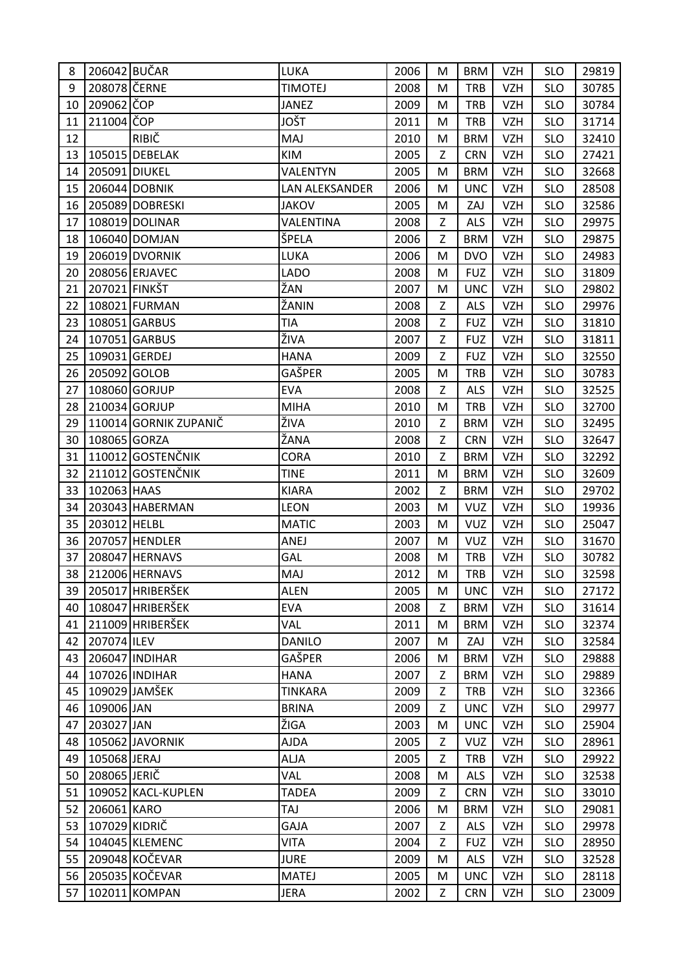| 8  | 206042 BUČAR  |                       | LUKA           | 2006 | M | <b>BRM</b> | <b>VZH</b> | <b>SLO</b> | 29819 |
|----|---------------|-----------------------|----------------|------|---|------------|------------|------------|-------|
| 9  | 208078 ČERNE  |                       | <b>TIMOTEJ</b> | 2008 | M | <b>TRB</b> | <b>VZH</b> | <b>SLO</b> | 30785 |
| 10 | 209062 ČOP    |                       | <b>JANEZ</b>   | 2009 | M | <b>TRB</b> | <b>VZH</b> | <b>SLO</b> | 30784 |
| 11 | 211004 ČOP    |                       | JOŠT           | 2011 | M | <b>TRB</b> | <b>VZH</b> | <b>SLO</b> | 31714 |
| 12 |               | <b>RIBIČ</b>          | MAJ            | 2010 | M | <b>BRM</b> | <b>VZH</b> | <b>SLO</b> | 32410 |
| 13 |               | 105015 DEBELAK        | KIM            | 2005 | Z | <b>CRN</b> | <b>VZH</b> | <b>SLO</b> | 27421 |
| 14 | 205091 DIUKEL |                       | VALENTYN       | 2005 | M | <b>BRM</b> | <b>VZH</b> | <b>SLO</b> | 32668 |
| 15 |               | 206044 DOBNIK         | LAN ALEKSANDER | 2006 | M | <b>UNC</b> | <b>VZH</b> | <b>SLO</b> | 28508 |
| 16 |               | 205089 DOBRESKI       | <b>JAKOV</b>   | 2005 | M | ZAJ        | <b>VZH</b> | <b>SLO</b> | 32586 |
| 17 |               | 108019 DOLINAR        | VALENTINA      | 2008 | Z | <b>ALS</b> | <b>VZH</b> | <b>SLO</b> | 29975 |
| 18 |               | 106040 DOMJAN         | ŠPELA          | 2006 | Z | <b>BRM</b> | <b>VZH</b> | <b>SLO</b> | 29875 |
| 19 |               | 206019 DVORNIK        | LUKA           | 2006 | M | <b>DVO</b> | <b>VZH</b> | <b>SLO</b> | 24983 |
| 20 |               | 208056 ERJAVEC        | <b>LADO</b>    | 2008 | M | <b>FUZ</b> | <b>VZH</b> | <b>SLO</b> | 31809 |
| 21 | 207021 FINKŠT |                       | ŽAN            | 2007 | M | <b>UNC</b> | <b>VZH</b> | <b>SLO</b> | 29802 |
| 22 |               | 108021 FURMAN         | ŽANIN          | 2008 | Ζ | <b>ALS</b> | <b>VZH</b> | <b>SLO</b> | 29976 |
| 23 |               | 108051 GARBUS         | TIA            | 2008 | Z | <b>FUZ</b> | <b>VZH</b> | <b>SLO</b> | 31810 |
| 24 |               | 107051 GARBUS         | ŽIVA           | 2007 | Z | <b>FUZ</b> | <b>VZH</b> | <b>SLO</b> | 31811 |
| 25 | 109031 GERDEJ |                       | <b>HANA</b>    | 2009 | Z | <b>FUZ</b> | <b>VZH</b> | <b>SLO</b> | 32550 |
| 26 | 205092 GOLOB  |                       | GAŠPER         | 2005 | M | <b>TRB</b> | <b>VZH</b> | <b>SLO</b> | 30783 |
| 27 |               | 108060 GORJUP         | <b>EVA</b>     | 2008 | Z | <b>ALS</b> | <b>VZH</b> | <b>SLO</b> | 32525 |
| 28 |               | 210034 GORJUP         | <b>MIHA</b>    | 2010 | M | <b>TRB</b> | <b>VZH</b> | <b>SLO</b> | 32700 |
| 29 |               | 110014 GORNIK ZUPANIČ | ŽIVA           | 2010 | Z | <b>BRM</b> | <b>VZH</b> | <b>SLO</b> | 32495 |
| 30 | 108065 GORZA  |                       | ŽANA           | 2008 | Z | <b>CRN</b> | <b>VZH</b> | <b>SLO</b> | 32647 |
| 31 |               | 110012 GOSTENČNIK     | CORA           | 2010 | Z | <b>BRM</b> | <b>VZH</b> | <b>SLO</b> | 32292 |
| 32 |               | 211012 GOSTENČNIK     | <b>TINE</b>    | 2011 | M | <b>BRM</b> | <b>VZH</b> | <b>SLO</b> | 32609 |
| 33 | 102063 HAAS   |                       | <b>KIARA</b>   | 2002 | Z | <b>BRM</b> | <b>VZH</b> | <b>SLO</b> | 29702 |
| 34 |               | 203043 HABERMAN       | <b>LEON</b>    | 2003 | M | <b>VUZ</b> | <b>VZH</b> | <b>SLO</b> | 19936 |
| 35 | 203012 HELBL  |                       | <b>MATIC</b>   | 2003 | M | <b>VUZ</b> | <b>VZH</b> | <b>SLO</b> | 25047 |
| 36 |               | 207057 HENDLER        | ANEJ           | 2007 | M | <b>VUZ</b> | <b>VZH</b> | <b>SLO</b> | 31670 |
| 37 |               | 208047 HERNAVS        | <b>GAL</b>     | 2008 | M | <b>TRB</b> | <b>VZH</b> | <b>SLO</b> | 30782 |
| 38 |               | 212006 HERNAVS        | MAJ            | 2012 | M | <b>TRB</b> | <b>VZH</b> | <b>SLO</b> | 32598 |
| 39 |               | 205017 HRIBERŠEK      | <b>ALEN</b>    | 2005 | M | <b>UNC</b> | <b>VZH</b> | <b>SLO</b> | 27172 |
| 40 |               | 108047 HRIBERŠEK      | <b>EVA</b>     | 2008 | Z | <b>BRM</b> | <b>VZH</b> | <b>SLO</b> | 31614 |
| 41 |               | 211009 HRIBERŠEK      | VAL            | 2011 | M | <b>BRM</b> | <b>VZH</b> | <b>SLO</b> | 32374 |
| 42 | 207074 ILEV   |                       | <b>DANILO</b>  | 2007 | M | ZAJ        | <b>VZH</b> | <b>SLO</b> | 32584 |
| 43 |               | 206047 INDIHAR        | GAŠPER         | 2006 | M | <b>BRM</b> | <b>VZH</b> | <b>SLO</b> | 29888 |
| 44 |               | 107026 INDIHAR        | <b>HANA</b>    | 2007 | Z | <b>BRM</b> | <b>VZH</b> | <b>SLO</b> | 29889 |
| 45 |               | 109029 JAMŠEK         | <b>TINKARA</b> | 2009 | Z | <b>TRB</b> | <b>VZH</b> | <b>SLO</b> | 32366 |
| 46 | 109006 JAN    |                       | <b>BRINA</b>   | 2009 | Z | <b>UNC</b> | <b>VZH</b> | <b>SLO</b> | 29977 |
| 47 | 203027 JAN    |                       | ŽIGA           | 2003 | M | <b>UNC</b> | <b>VZH</b> | <b>SLO</b> | 25904 |
| 48 |               | 105062 JAVORNIK       | <b>AJDA</b>    | 2005 | Z | <b>VUZ</b> | <b>VZH</b> | <b>SLO</b> | 28961 |
| 49 | 105068 JERAJ  |                       | <b>ALJA</b>    | 2005 | Z | <b>TRB</b> | <b>VZH</b> | <b>SLO</b> | 29922 |
| 50 | 208065 JERIČ  |                       | VAL            | 2008 | M | <b>ALS</b> | <b>VZH</b> | <b>SLO</b> | 32538 |
| 51 |               | 109052 KACL-KUPLEN    | <b>TADEA</b>   | 2009 | Z | <b>CRN</b> | <b>VZH</b> | <b>SLO</b> | 33010 |
| 52 | 206061 KARO   |                       | TAJ            | 2006 | M | <b>BRM</b> | <b>VZH</b> | <b>SLO</b> | 29081 |
| 53 | 107029 KIDRIČ |                       | <b>GAJA</b>    | 2007 | Z | <b>ALS</b> | <b>VZH</b> | <b>SLO</b> | 29978 |
| 54 |               | 104045 KLEMENC        | <b>VITA</b>    | 2004 | Z | <b>FUZ</b> | <b>VZH</b> | <b>SLO</b> | 28950 |
| 55 |               | 209048 KOČEVAR        | <b>JURE</b>    | 2009 | M | <b>ALS</b> | <b>VZH</b> | <b>SLO</b> | 32528 |
| 56 |               | 205035 KOČEVAR        | <b>MATEJ</b>   | 2005 | M | <b>UNC</b> | <b>VZH</b> | <b>SLO</b> | 28118 |
| 57 |               | 102011 KOMPAN         | <b>JERA</b>    | 2002 | Z | <b>CRN</b> | <b>VZH</b> | <b>SLO</b> | 23009 |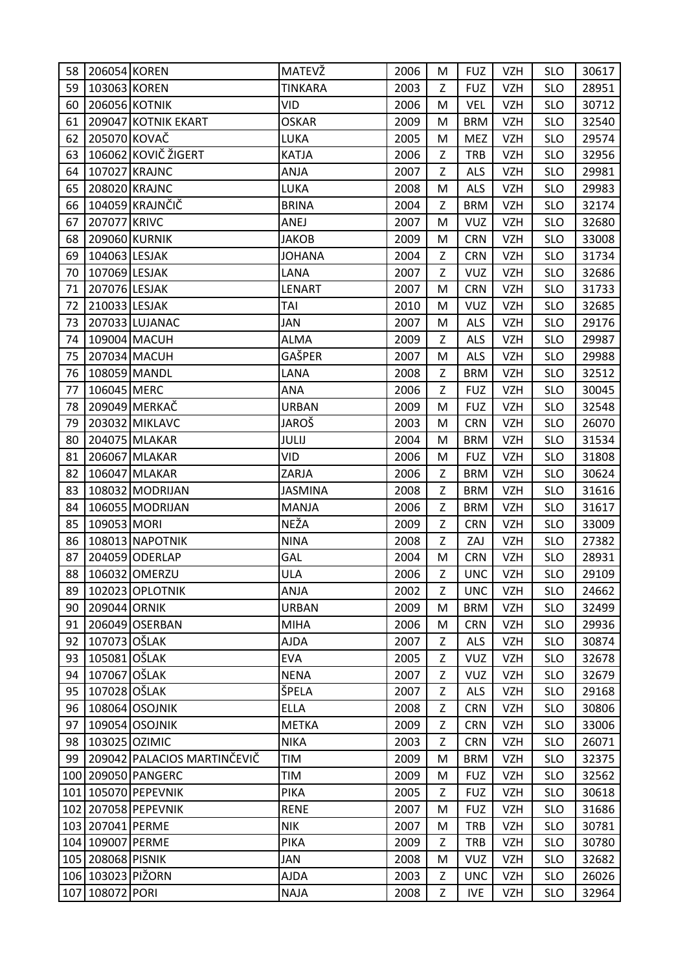| 58 | 206054 KOREN                         |                             | MATEVŽ         | 2006 | M | <b>FUZ</b> | VZH        | <b>SLO</b> | 30617 |
|----|--------------------------------------|-----------------------------|----------------|------|---|------------|------------|------------|-------|
| 59 | 103063 KOREN                         |                             | <b>TINKARA</b> | 2003 | Z | <b>FUZ</b> | <b>VZH</b> | <b>SLO</b> | 28951 |
| 60 | 206056 KOTNIK                        |                             | <b>VID</b>     | 2006 | M | <b>VEL</b> | <b>VZH</b> | <b>SLO</b> | 30712 |
| 61 |                                      | 209047 KOTNIK EKART         | <b>OSKAR</b>   | 2009 | M | <b>BRM</b> | <b>VZH</b> | <b>SLO</b> | 32540 |
| 62 | 205070 KOVAČ                         |                             | LUKA           | 2005 | M | <b>MEZ</b> | <b>VZH</b> | <b>SLO</b> | 29574 |
| 63 |                                      | 106062 KOVIČ ŽIGERT         | <b>KATJA</b>   | 2006 | Z | <b>TRB</b> | <b>VZH</b> | <b>SLO</b> | 32956 |
| 64 | 107027 KRAJNC                        |                             | ANJA           | 2007 | Z | <b>ALS</b> | <b>VZH</b> | <b>SLO</b> | 29981 |
| 65 | 208020 KRAJNC                        |                             | LUKA           | 2008 | M | <b>ALS</b> | <b>VZH</b> | <b>SLO</b> | 29983 |
| 66 |                                      | 104059 KRAJNČIČ             | <b>BRINA</b>   | 2004 | Z | <b>BRM</b> | <b>VZH</b> | <b>SLO</b> | 32174 |
| 67 | 207077 KRIVC                         |                             | ANEJ           | 2007 | M | <b>VUZ</b> | <b>VZH</b> | <b>SLO</b> | 32680 |
| 68 | 209060 KURNIK                        |                             | <b>JAKOB</b>   | 2009 | M | <b>CRN</b> | <b>VZH</b> | <b>SLO</b> | 33008 |
| 69 | 104063 LESJAK                        |                             | <b>JOHANA</b>  | 2004 | Z | <b>CRN</b> | <b>VZH</b> | <b>SLO</b> | 31734 |
| 70 | 107069 LESJAK                        |                             | LANA           | 2007 | Ζ | <b>VUZ</b> | <b>VZH</b> | <b>SLO</b> | 32686 |
| 71 | 207076 LESJAK                        |                             | LENART         | 2007 | M | <b>CRN</b> | <b>VZH</b> | <b>SLO</b> | 31733 |
| 72 | 210033 LESJAK                        |                             | TAI            | 2010 | M | <b>VUZ</b> | <b>VZH</b> | <b>SLO</b> | 32685 |
| 73 |                                      | 207033 LUJANAC              | JAN            | 2007 | M | <b>ALS</b> | <b>VZH</b> | <b>SLO</b> | 29176 |
| 74 | 109004 MACUH                         |                             | <b>ALMA</b>    | 2009 | Z | <b>ALS</b> | <b>VZH</b> | <b>SLO</b> | 29987 |
| 75 |                                      | 207034 MACUH                | GAŠPER         | 2007 | M | <b>ALS</b> | <b>VZH</b> | <b>SLO</b> | 29988 |
| 76 | 108059 MANDL                         |                             | LANA           | 2008 | Z | <b>BRM</b> | <b>VZH</b> | <b>SLO</b> | 32512 |
| 77 | 106045 MERC                          |                             | ANA            | 2006 | Z | <b>FUZ</b> | <b>VZH</b> | <b>SLO</b> | 30045 |
| 78 |                                      | 209049 MERKAČ               | <b>URBAN</b>   | 2009 | M | <b>FUZ</b> | <b>VZH</b> | <b>SLO</b> | 32548 |
| 79 |                                      | 203032 MIKLAVC              | JAROŠ          | 2003 | M | <b>CRN</b> | <b>VZH</b> | <b>SLO</b> | 26070 |
| 80 |                                      | 204075 MLAKAR               | JULIJ          | 2004 | M | <b>BRM</b> | <b>VZH</b> | <b>SLO</b> | 31534 |
| 81 |                                      | 206067 MLAKAR               | <b>VID</b>     | 2006 | M | <b>FUZ</b> | <b>VZH</b> | <b>SLO</b> | 31808 |
| 82 |                                      | 106047 MLAKAR               | ZARJA          | 2006 | Z | <b>BRM</b> | <b>VZH</b> | <b>SLO</b> | 30624 |
| 83 |                                      | 108032 MODRIJAN             | <b>JASMINA</b> | 2008 | Z | <b>BRM</b> | <b>VZH</b> | <b>SLO</b> | 31616 |
|    |                                      |                             |                |      |   |            |            |            |       |
| 84 |                                      | 106055 MODRIJAN             | MANJA          | 2006 | Z | <b>BRM</b> | <b>VZH</b> | <b>SLO</b> | 31617 |
| 85 | 109053 MORI                          |                             | NEŽA           | 2009 | Z | <b>CRN</b> | <b>VZH</b> | <b>SLO</b> | 33009 |
| 86 |                                      | 108013 NAPOTNIK             | <b>NINA</b>    | 2008 | Z | ZAJ        | <b>VZH</b> | <b>SLO</b> | 27382 |
| 87 |                                      | 204059 ODERLAP              | <b>GAL</b>     | 2004 | M | <b>CRN</b> | <b>VZH</b> | <b>SLO</b> | 28931 |
|    |                                      | 88 306032 OMERZU            | <b>ULA</b>     | 2006 | Z | <b>UNC</b> | <b>VZH</b> | <b>SLO</b> | 29109 |
| 89 |                                      | 102023 OPLOTNIK             | ANJA           | 2002 | Z | <b>UNC</b> | <b>VZH</b> | <b>SLO</b> | 24662 |
| 90 | 209044 ORNIK                         |                             | <b>URBAN</b>   | 2009 | M | <b>BRM</b> | <b>VZH</b> | <b>SLO</b> | 32499 |
| 91 |                                      | 206049 OSERBAN              | <b>MIHA</b>    | 2006 | M | <b>CRN</b> | <b>VZH</b> | <b>SLO</b> | 29936 |
| 92 | 107073 OŠLAK                         |                             | <b>AJDA</b>    | 2007 | Z | <b>ALS</b> | <b>VZH</b> | <b>SLO</b> | 30874 |
| 93 | 105081 OŠLAK                         |                             | <b>EVA</b>     | 2005 | Z | <b>VUZ</b> | <b>VZH</b> | <b>SLO</b> | 32678 |
| 94 | 107067 OŠLAK                         |                             | <b>NENA</b>    | 2007 | Z | <b>VUZ</b> | <b>VZH</b> | <b>SLO</b> | 32679 |
| 95 | 107028 OŠLAK                         |                             | ŠPELA          | 2007 | Z | <b>ALS</b> | <b>VZH</b> | <b>SLO</b> | 29168 |
| 96 |                                      | 108064 OSOJNIK              | <b>ELLA</b>    | 2008 | Z | <b>CRN</b> | <b>VZH</b> | <b>SLO</b> | 30806 |
| 97 |                                      | 109054 OSOJNIK              | <b>METKA</b>   | 2009 | Z | <b>CRN</b> | <b>VZH</b> | <b>SLO</b> | 33006 |
| 98 | 103025 OZIMIC                        |                             | <b>NIKA</b>    | 2003 | Z | <b>CRN</b> | <b>VZH</b> | <b>SLO</b> | 26071 |
| 99 |                                      | 209042 PALACIOS MARTINČEVIČ | TIM            | 2009 | M | <b>BRM</b> | <b>VZH</b> | <b>SLO</b> | 32375 |
|    |                                      | 100 209050 PANGERC          | TIM            | 2009 | M | <b>FUZ</b> | <b>VZH</b> | <b>SLO</b> | 32562 |
|    |                                      | 101 105070 PEPEVNIK         | <b>PIKA</b>    | 2005 | Z | <b>FUZ</b> | <b>VZH</b> | <b>SLO</b> | 30618 |
|    |                                      | 102 207058 PEPEVNIK         | <b>RENE</b>    | 2007 | M | <b>FUZ</b> | <b>VZH</b> | <b>SLO</b> | 31686 |
|    | 103 207041 PERME                     |                             | <b>NIK</b>     | 2007 | M | <b>TRB</b> | <b>VZH</b> | <b>SLO</b> | 30781 |
|    | 104 109007 PERME                     |                             | <b>PIKA</b>    | 2009 | Z | <b>TRB</b> | <b>VZH</b> | <b>SLO</b> | 30780 |
|    | 105 208068 PISNIK                    |                             | JAN            | 2008 | M | <b>VUZ</b> | <b>VZH</b> | <b>SLO</b> | 32682 |
|    | 106 103023 PIŽORN<br>107 108072 PORI |                             | <b>AJDA</b>    | 2003 | Z | <b>UNC</b> | <b>VZH</b> | <b>SLO</b> | 26026 |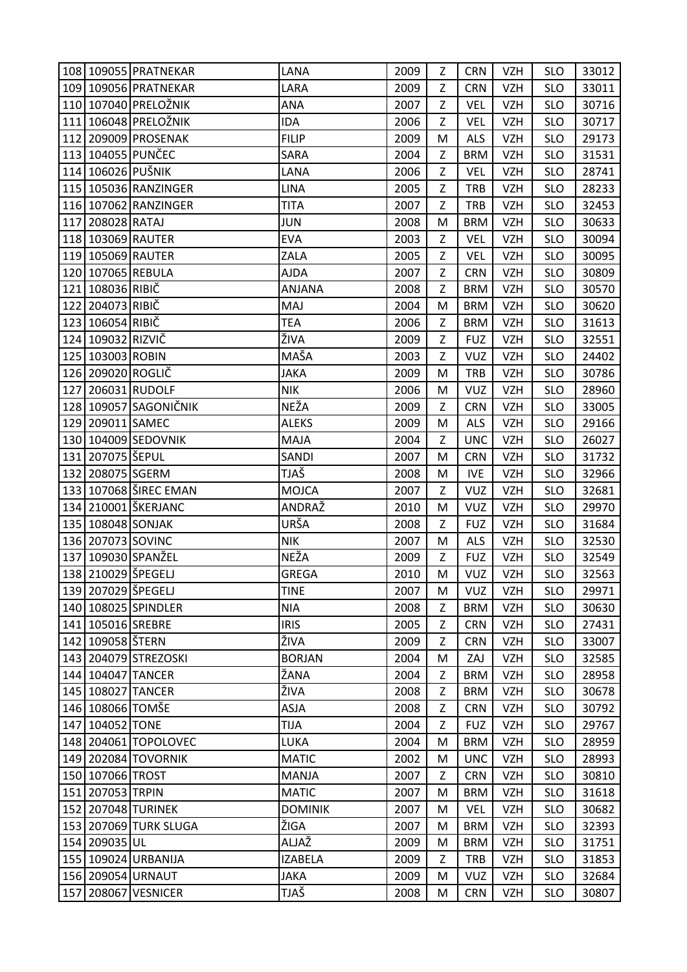|     |                    | 108 109055 PRATNEKAR  | LANA           | 2009 | Z | <b>CRN</b> | VZH.       | <b>SLO</b> | 33012 |
|-----|--------------------|-----------------------|----------------|------|---|------------|------------|------------|-------|
|     |                    | 109 109056 PRATNEKAR  | LARA           | 2009 | Z | <b>CRN</b> | <b>VZH</b> | <b>SLO</b> | 33011 |
|     |                    | 110 107040 PRELOŽNIK  | ANA            | 2007 | Z | <b>VEL</b> | <b>VZH</b> | <b>SLO</b> | 30716 |
|     |                    | 111 106048 PRELOŽNIK  | <b>IDA</b>     | 2006 | Z | <b>VEL</b> | <b>VZH</b> | <b>SLO</b> | 30717 |
| 112 |                    | 209009 PROSENAK       | <b>FILIP</b>   | 2009 | M | <b>ALS</b> | <b>VZH</b> | <b>SLO</b> | 29173 |
|     |                    | 113 104055 PUNČEC     | SARA           | 2004 | Z | <b>BRM</b> | <b>VZH</b> | <b>SLO</b> | 31531 |
|     | 114 106026 PUŠNIK  |                       | LANA           | 2006 | Z | <b>VEL</b> | <b>VZH</b> | <b>SLO</b> | 28741 |
|     |                    | 115 105036 RANZINGER  | <b>LINA</b>    | 2005 | Z | <b>TRB</b> | <b>VZH</b> | <b>SLO</b> | 28233 |
|     |                    | 116 107062 RANZINGER  | <b>TITA</b>    | 2007 | Z | <b>TRB</b> | <b>VZH</b> | <b>SLO</b> | 32453 |
| 117 | 208028 RATAJ       |                       | JUN            | 2008 | M | <b>BRM</b> | <b>VZH</b> | <b>SLO</b> | 30633 |
|     | 118 103069 RAUTER  |                       | <b>EVA</b>     | 2003 | Z | <b>VEL</b> | <b>VZH</b> | <b>SLO</b> | 30094 |
|     | 119 105069 RAUTER  |                       | ZALA           | 2005 | Z | <b>VEL</b> | <b>VZH</b> | <b>SLO</b> | 30095 |
|     | 120 107065 REBULA  |                       | <b>AJDA</b>    | 2007 | Z | <b>CRN</b> | <b>VZH</b> | <b>SLO</b> | 30809 |
|     | 121 108036 RIBIČ   |                       | <b>ANJANA</b>  | 2008 | Z | <b>BRM</b> | <b>VZH</b> | <b>SLO</b> | 30570 |
|     | 122 204073 RIBIČ   |                       | MAJ            | 2004 | M | <b>BRM</b> | <b>VZH</b> | <b>SLO</b> | 30620 |
|     | 123 106054 RIBIČ   |                       | <b>TEA</b>     | 2006 | Z | <b>BRM</b> | VZH        | <b>SLO</b> | 31613 |
| 124 | 109032 RIZVIČ      |                       | ŽIVA           | 2009 | Z | <b>FUZ</b> | <b>VZH</b> | <b>SLO</b> | 32551 |
|     | 125 103003 ROBIN   |                       | MAŠA           | 2003 | Z | <b>VUZ</b> | <b>VZH</b> | <b>SLO</b> | 24402 |
|     | 126 209020 ROGLIČ  |                       | <b>JAKA</b>    | 2009 | M | <b>TRB</b> | <b>VZH</b> | <b>SLO</b> | 30786 |
| 127 |                    | 206031 RUDOLF         | <b>NIK</b>     | 2006 | M | <b>VUZ</b> | <b>VZH</b> | <b>SLO</b> | 28960 |
|     |                    | 128 109057 SAGONIČNIK | NEŽA           | 2009 | Z | <b>CRN</b> | <b>VZH</b> | <b>SLO</b> | 33005 |
| 129 | 209011 SAMEC       |                       | <b>ALEKS</b>   | 2009 | M | <b>ALS</b> | <b>VZH</b> | <b>SLO</b> | 29166 |
|     |                    | 130 104009 SEDOVNIK   | <b>MAJA</b>    | 2004 | Z | <b>UNC</b> | <b>VZH</b> | <b>SLO</b> | 26027 |
|     | 131 207075 ŠEPUL   |                       | SANDI          | 2007 | M | <b>CRN</b> | <b>VZH</b> | <b>SLO</b> | 31732 |
|     | 132 208075 SGERM   |                       | TJAŠ           | 2008 | M | <b>IVE</b> | <b>VZH</b> | <b>SLO</b> | 32966 |
|     |                    | 133 107068 SIREC EMAN | <b>MOJCA</b>   | 2007 | Z | <b>VUZ</b> | <b>VZH</b> | <b>SLO</b> | 32681 |
|     |                    | 134 210001 ŠKERJANC   | ANDRAŽ         | 2010 | M | <b>VUZ</b> | <b>VZH</b> | <b>SLO</b> | 29970 |
|     | 135 108048 SONJAK  |                       | URŠA           | 2008 | Z | <b>FUZ</b> | <b>VZH</b> | <b>SLO</b> | 31684 |
|     | 136 207073 SOVINC  |                       | <b>NIK</b>     | 2007 | M | <b>ALS</b> | <b>VZH</b> | <b>SLO</b> | 32530 |
| 137 |                    | 109030 SPANŽEL        | NEŽA           | 2009 | Z | <b>FUZ</b> | <b>VZH</b> | <b>SLO</b> | 32549 |
|     | 138 210029 ŠPEGELJ |                       | <b>GREGA</b>   | 2010 | M | <b>VUZ</b> | <b>VZH</b> | <b>SLO</b> | 32563 |
|     | 139 207029 ŠPEGELJ |                       | <b>TINE</b>    | 2007 | M | <b>VUZ</b> | <b>VZH</b> | <b>SLO</b> | 29971 |
|     |                    | 140 108025 SPINDLER   | <b>NIA</b>     | 2008 | Z | <b>BRM</b> | <b>VZH</b> | <b>SLO</b> | 30630 |
|     | 141 105016 SREBRE  |                       | <b>IRIS</b>    | 2005 | Z | <b>CRN</b> | <b>VZH</b> | <b>SLO</b> | 27431 |
| 142 | 109058 ŠTERN       |                       | ŽIVA           | 2009 | Z | <b>CRN</b> | <b>VZH</b> | <b>SLO</b> | 33007 |
|     |                    | 143 204079 STREZOSKI  | <b>BORJAN</b>  | 2004 | M | ZAJ        | <b>VZH</b> | <b>SLO</b> | 32585 |
|     | 144 104047 TANCER  |                       | ŽANA           | 2004 | Z | <b>BRM</b> | <b>VZH</b> | <b>SLO</b> | 28958 |
|     | 145 108027 TANCER  |                       | ŽIVA           | 2008 | Z | <b>BRM</b> | <b>VZH</b> | <b>SLO</b> | 30678 |
|     | 146 108066 TOMŠE   |                       | <b>ASJA</b>    | 2008 | Z | <b>CRN</b> | <b>VZH</b> | <b>SLO</b> | 30792 |
|     | 147 104052 TONE    |                       | <b>TIJA</b>    | 2004 | Z | <b>FUZ</b> | <b>VZH</b> | <b>SLO</b> | 29767 |
|     |                    | 148 204061 TOPOLOVEC  | LUKA           | 2004 | M | <b>BRM</b> | <b>VZH</b> | <b>SLO</b> | 28959 |
|     |                    | 149 202084 TOVORNIK   | <b>MATIC</b>   | 2002 | M | <b>UNC</b> | <b>VZH</b> | <b>SLO</b> | 28993 |
|     | 150 107066 TROST   |                       | <b>MANJA</b>   | 2007 | Z | <b>CRN</b> | <b>VZH</b> | <b>SLO</b> | 30810 |
|     | 151 207053 TRPIN   |                       | <b>MATIC</b>   | 2007 | M | <b>BRM</b> | <b>VZH</b> | <b>SLO</b> | 31618 |
|     |                    | 152 207048 TURINEK    | <b>DOMINIK</b> | 2007 | M | <b>VEL</b> | <b>VZH</b> | <b>SLO</b> | 30682 |
|     |                    | 153 207069 TURK SLUGA | ŽIGA           | 2007 | M | <b>BRM</b> | <b>VZH</b> | <b>SLO</b> | 32393 |
|     | 154 209035 UL      |                       | ALJAŽ          | 2009 | M | <b>BRM</b> | <b>VZH</b> | <b>SLO</b> | 31751 |
|     |                    | 155 109024 URBANIJA   | <b>IZABELA</b> | 2009 | Z | <b>TRB</b> | <b>VZH</b> | <b>SLO</b> | 31853 |
|     |                    | 156 209054 URNAUT     | <b>JAKA</b>    | 2009 | M | <b>VUZ</b> | <b>VZH</b> | <b>SLO</b> | 32684 |
|     |                    | 157 208067 VESNICER   | TJAŠ           | 2008 | M | <b>CRN</b> | <b>VZH</b> | <b>SLO</b> | 30807 |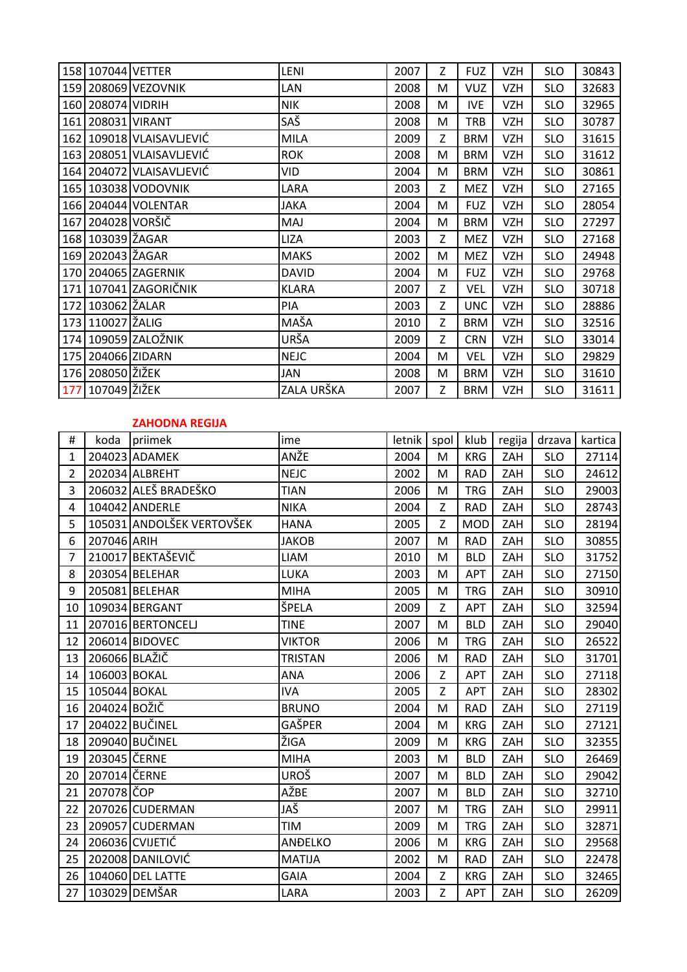|     | 158 107044 VETTER |                          | <b>LENI</b>  | 2007 | Z              | <b>FUZ</b> | <b>VZH</b> | <b>SLO</b> | 30843 |
|-----|-------------------|--------------------------|--------------|------|----------------|------------|------------|------------|-------|
|     |                   | 159 208069 VEZOVNIK      | LAN          | 2008 | M              | <b>VUZ</b> | <b>VZH</b> | <b>SLO</b> | 32683 |
|     | 160 208074 VIDRIH |                          | <b>NIK</b>   | 2008 | М              | <b>IVE</b> | <b>VZH</b> | <b>SLO</b> | 32965 |
|     | 161 208031 VIRANT |                          | SAŠ          | 2008 | M              | <b>TRB</b> | <b>VZH</b> | <b>SLO</b> | 30787 |
|     |                   | 162 109018 VLAISAVLJEVIĆ | <b>MILA</b>  | 2009 | Z              | <b>BRM</b> | <b>VZH</b> | <b>SLO</b> | 31615 |
|     |                   | 163 208051 VLAISAVLJEVIĆ | <b>ROK</b>   | 2008 | M              | <b>BRM</b> | <b>VZH</b> | <b>SLO</b> | 31612 |
|     |                   | 164 204072 VLAISAVLJEVIĆ | VID          | 2004 | M              | <b>BRM</b> | <b>VZH</b> | <b>SLO</b> | 30861 |
|     |                   | 165 103038 VODOVNIK      | LARA         | 2003 | Z.             | <b>MEZ</b> | <b>VZH</b> | <b>SLO</b> | 27165 |
|     |                   | 166 204044 VOLENTAR      | <b>JAKA</b>  | 2004 | M              | <b>FUZ</b> | <b>VZH</b> | <b>SLO</b> | 28054 |
|     | 167 204028 VORŠIČ |                          | MAJ          | 2004 | M              | <b>BRM</b> | <b>VZH</b> | <b>SLO</b> | 27297 |
|     | 168 103039 ŽAGAR  |                          | <b>LIZA</b>  | 2003 | Z              | <b>MEZ</b> | <b>VZH</b> | <b>SLO</b> | 27168 |
|     | 169 202043 ŽAGAR  |                          | <b>MAKS</b>  | 2002 | M              | <b>MEZ</b> | <b>VZH</b> | <b>SLO</b> | 24948 |
|     |                   | 170 204065 ZAGERNIK      | <b>DAVID</b> | 2004 | M              | <b>FUZ</b> | <b>VZH</b> | <b>SLO</b> | 29768 |
|     |                   | 171 107041 ZAGORIČNIK    | <b>KLARA</b> | 2007 | Z              | <b>VEL</b> | <b>VZH</b> | <b>SLO</b> | 30718 |
| 172 | 103062 ŽALAR      |                          | PIA          | 2003 | Z.             | <b>UNC</b> | <b>VZH</b> | <b>SLO</b> | 28886 |
|     | 173 110027 ŽALIG  |                          | MAŠA         | 2010 | Z              | <b>BRM</b> | <b>VZH</b> | <b>SLO</b> | 32516 |
|     |                   | 174 109059 ZALOŽNIK      | URŠA         | 2009 | Z.             | <b>CRN</b> | <b>VZH</b> | <b>SLO</b> | 33014 |
|     | 175 204066 ZIDARN |                          | <b>NEJC</b>  | 2004 | M              | <b>VEL</b> | <b>VZH</b> | <b>SLO</b> | 29829 |
|     | 176 208050 ŽIŽEK  |                          | JAN          | 2008 | M              | <b>BRM</b> | <b>VZH</b> | <b>SLO</b> | 31610 |
|     | 177 107049 ŽIŽEK  |                          | ZALA URŠKA   | 2007 | $\overline{z}$ | <b>BRM</b> | <b>VZH</b> | <b>SLO</b> | 31611 |

#### **ZAHODNA REGIJA**

| #              | koda          | priimek                   | ime            | letnik | spol | klub       | regija | drzava     | kartica |
|----------------|---------------|---------------------------|----------------|--------|------|------------|--------|------------|---------|
| $\mathbf{1}$   |               | 204023 ADAMEK             | ANŽE           | 2004   | M    | <b>KRG</b> | ZAH    | <b>SLO</b> | 27114   |
| $\overline{2}$ |               | 202034 ALBREHT            | <b>NEJC</b>    | 2002   | M    | <b>RAD</b> | ZAH    | <b>SLO</b> | 24612   |
| 3              |               | 206032 ALEŠ BRADEŠKO      | <b>TIAN</b>    | 2006   | M    | <b>TRG</b> | ZAH    | <b>SLO</b> | 29003   |
| 4              |               | 104042 ANDERLE            | <b>NIKA</b>    | 2004   | Z    | <b>RAD</b> | ZAH    | <b>SLO</b> | 28743   |
| 5              |               | 105031 ANDOLŠEK VERTOVŠEK | <b>HANA</b>    | 2005   | Z    | <b>MOD</b> | ZAH    | <b>SLO</b> | 28194   |
| 6              | 207046 ARIH   |                           | <b>JAKOB</b>   | 2007   | M    | <b>RAD</b> | ZAH    | <b>SLO</b> | 30855   |
| $\overline{7}$ |               | 210017 BEKTAŠEVIČ         | <b>LIAM</b>    | 2010   | M    | <b>BLD</b> | ZAH    | <b>SLO</b> | 31752   |
| 8              |               | 203054 BELEHAR            | LUKA           | 2003   | M    | <b>APT</b> | ZAH    | <b>SLO</b> | 27150   |
| 9              |               | 205081 BELEHAR            | <b>MIHA</b>    | 2005   | M    | <b>TRG</b> | ZAH    | <b>SLO</b> | 30910   |
| 10             |               | 109034 BERGANT            | ŠPELA          | 2009   | Z    | APT        | ZAH    | <b>SLO</b> | 32594   |
| 11             |               | 207016 BERTONCELJ         | <b>TINE</b>    | 2007   | M    | <b>BLD</b> | ZAH    | <b>SLO</b> | 29040   |
| 12             |               | 206014 BIDOVEC            | <b>VIKTOR</b>  | 2006   | M    | <b>TRG</b> | ZAH    | <b>SLO</b> | 26522   |
| 13             | 206066 BLAŽIČ |                           | <b>TRISTAN</b> | 2006   | M    | <b>RAD</b> | ZAH    | <b>SLO</b> | 31701   |
| 14             | 106003 BOKAL  |                           | ANA            | 2006   | Z    | <b>APT</b> | ZAH    | <b>SLO</b> | 27118   |
| 15             | 105044 BOKAL  |                           | <b>IVA</b>     | 2005   | Z    | APT        | ZAH    | <b>SLO</b> | 28302   |
| 16             | 204024 BOŽIČ  |                           | <b>BRUNO</b>   | 2004   | M    | <b>RAD</b> | ZAH    | <b>SLO</b> | 27119   |
| 17             |               | 204022 BUČINEL            | GAŠPER         | 2004   | M    | <b>KRG</b> | ZAH    | <b>SLO</b> | 27121   |
| 18             |               | 209040 BUČINEL            | ŽIGA           | 2009   | M    | <b>KRG</b> | ZAH    | <b>SLO</b> | 32355   |
| 19             | 203045 ČERNE  |                           | <b>MIHA</b>    | 2003   | M    | <b>BLD</b> | ZAH    | <b>SLO</b> | 26469   |
| 20             | 207014 ČERNE  |                           | UROŠ           | 2007   | M    | <b>BLD</b> | ZAH    | <b>SLO</b> | 29042   |
| 21             | 207078 ČOP    |                           | AŽBE           | 2007   | M    | <b>BLD</b> | ZAH    | <b>SLO</b> | 32710   |
| 22             |               | 207026 CUDERMAN           | JAŠ            | 2007   | M    | <b>TRG</b> | ZAH    | <b>SLO</b> | 29911   |
| 23             |               | 209057 CUDERMAN           | <b>TIM</b>     | 2009   | M    | <b>TRG</b> | ZAH    | <b>SLO</b> | 32871   |
| 24             |               | 206036 CVIJETIĆ           | ANĐELKO        | 2006   | M    | <b>KRG</b> | ZAH    | <b>SLO</b> | 29568   |
| 25             |               | 202008 DANILOVIĆ          | <b>MATIJA</b>  | 2002   | M    | <b>RAD</b> | ZAH    | <b>SLO</b> | 22478   |
| 26             |               | 104060 DEL LATTE          | <b>GAIA</b>    | 2004   | Z    | <b>KRG</b> | ZAH    | <b>SLO</b> | 32465   |
| 27             |               | 103029 DEMŠAR             | LARA           | 2003   | Z    | APT        | ZAH    | <b>SLO</b> | 26209   |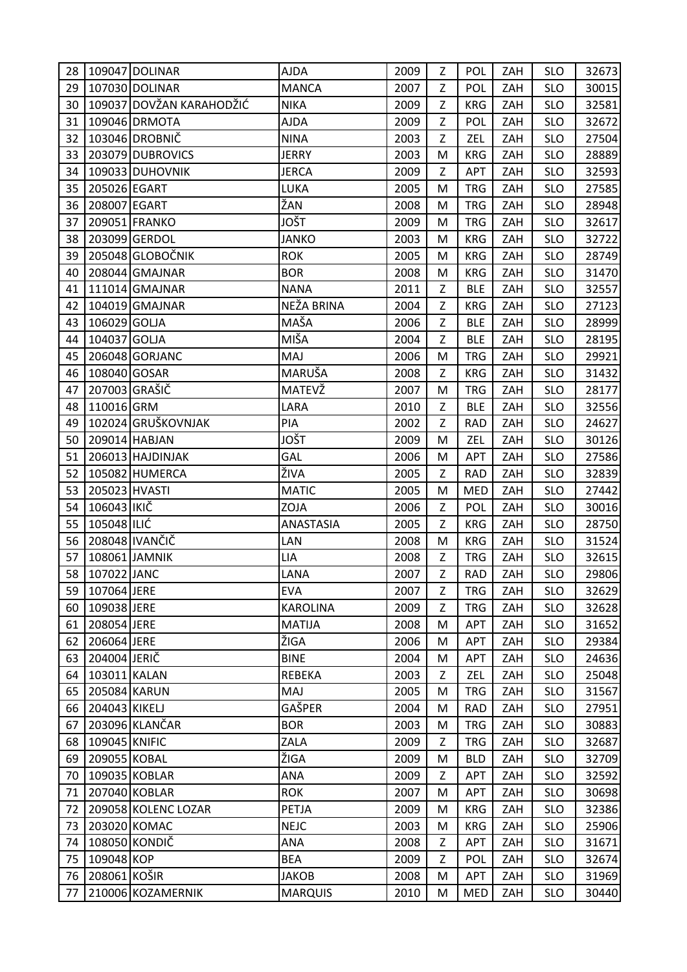| 28       |                | 109047 DOLINAR           | <b>AJDA</b>                    | 2009         | Z      | <b>POL</b>               | ZAH        | <b>SLO</b>               | 32673          |
|----------|----------------|--------------------------|--------------------------------|--------------|--------|--------------------------|------------|--------------------------|----------------|
| 29       |                | 107030 DOLINAR           | <b>MANCA</b>                   | 2007         | Z      | POL                      | ZAH        | <b>SLO</b>               | 30015          |
| 30       |                | 109037 DOVŽAN KARAHODŽIĆ | <b>NIKA</b>                    | 2009         | Z      | <b>KRG</b>               | ZAH        | <b>SLO</b>               | 32581          |
| 31       |                | 109046 DRMOTA            | <b>AJDA</b>                    | 2009         | Z      | POL                      | ZAH        | <b>SLO</b>               | 32672          |
| 32       |                | 103046 DROBNIČ           | <b>NINA</b>                    | 2003         | Z      | ZEL                      | ZAH        | <b>SLO</b>               | 27504          |
| 33       |                | 203079 DUBROVICS         | <b>JERRY</b>                   | 2003         | M      | <b>KRG</b>               | ZAH        | <b>SLO</b>               | 28889          |
| 34       |                | 109033 DUHOVNIK          | <b>JERCA</b>                   | 2009         | Z      | <b>APT</b>               | ZAH        | <b>SLO</b>               | 32593          |
| 35       | 205026 EGART   |                          | LUKA                           | 2005         | M      | <b>TRG</b>               | ZAH        | <b>SLO</b>               | 27585          |
| 36       | 208007 EGART   |                          | ŽAN                            | 2008         | M      | <b>TRG</b>               | ZAH        | <b>SLO</b>               | 28948          |
| 37       |                | 209051 FRANKO            | JOŠT                           | 2009         | M      | <b>TRG</b>               | ZAH        | <b>SLO</b>               | 32617          |
| 38       |                | 203099 GERDOL            | <b>JANKO</b>                   | 2003         | M      | <b>KRG</b>               | ZAH        | <b>SLO</b>               | 32722          |
| 39       |                | 205048 GLOBOČNIK         | <b>ROK</b>                     | 2005         | M      | <b>KRG</b>               | ZAH        | <b>SLO</b>               | 28749          |
| 40       |                | 208044 GMAJNAR           | <b>BOR</b>                     | 2008         | M      | <b>KRG</b>               | ZAH        | <b>SLO</b>               | 31470          |
| 41       |                | 111014 GMAJNAR           | <b>NANA</b>                    | 2011         | Z      | <b>BLE</b>               | ZAH        | <b>SLO</b>               | 32557          |
| 42       |                | 104019 GMAJNAR           | NEŽA BRINA                     | 2004         | Z      | <b>KRG</b>               | ZAH        | <b>SLO</b>               | 27123          |
| 43       | 106029 GOLJA   |                          | MAŠA                           | 2006         | Z      | <b>BLE</b>               | ZAH        | <b>SLO</b>               | 28999          |
| 44       | 104037 GOLJA   |                          | MIŠA                           | 2004         | Z      | <b>BLE</b>               | ZAH        | <b>SLO</b>               | 28195          |
| 45       |                | 206048 GORJANC           | MAJ                            | 2006         | M      | <b>TRG</b>               | ZAH        | <b>SLO</b>               | 29921          |
| 46       | 108040 GOSAR   |                          | MARUŠA                         | 2008         | Z      | <b>KRG</b>               | ZAH        | <b>SLO</b>               | 31432          |
| 47       | 207003 GRAŠIČ  |                          | MATEVŽ                         | 2007         | M      | <b>TRG</b>               | ZAH        | <b>SLO</b>               | 28177          |
| 48       | 110016 GRM     |                          | LARA                           | 2010         | Z      | <b>BLE</b>               | ZAH        | <b>SLO</b>               | 32556          |
| 49       |                | 102024 GRUŠKOVNJAK       | PIA                            | 2002         | Z      | <b>RAD</b>               | ZAH        | <b>SLO</b>               | 24627          |
| 50       |                | 209014 HABJAN            | JOŠT                           | 2009         | M      | ZEL                      | ZAH        | <b>SLO</b>               | 30126          |
| 51       |                | 206013 HAJDINJAK         | GAL                            | 2006         | M      | APT                      | ZAH        | <b>SLO</b>               | 27586          |
| 52       |                | 105082 HUMERCA           | ŽIVA                           | 2005         | Z      | <b>RAD</b>               | ZAH        | <b>SLO</b>               | 32839          |
|          |                |                          |                                |              |        |                          |            |                          |                |
| 53       | 205023 HVASTI  |                          | <b>MATIC</b>                   | 2005         | M      | <b>MED</b>               | ZAH        | <b>SLO</b>               | 27442          |
| 54       | 106043 IKIČ    |                          | ZOJA                           | 2006         | Z      | POL                      | ZAH        | <b>SLO</b>               | 30016          |
| 55       | 105048 ILIĆ    |                          | <b>ANASTASIA</b>               | 2005         | Z      | <b>KRG</b>               | ZAH        | <b>SLO</b>               | 28750          |
| 56       |                | 208048 IVANČIČ           | LAN                            | 2008         | M      | <b>KRG</b>               | ZAH        | <b>SLO</b>               | 31524          |
| 57       | 108061 JAMNIK  |                          | LIA                            | 2008         | Z      | <b>TRG</b>               | ZAH        | <b>SLO</b>               | 32615          |
|          | 58 307022 JANC |                          | LANA                           | 2007         | Z      | <b>RAD</b>               | ZAH        | <b>SLO</b>               | 29806          |
| 59       | 107064 JERE    |                          | <b>EVA</b>                     | 2007         | Z      | <b>TRG</b>               | ZAH        | <b>SLO</b>               | 32629          |
| 60       | 109038 JERE    |                          | <b>KAROLINA</b>                | 2009         | Z      | <b>TRG</b>               | ZAH        | <b>SLO</b>               | 32628          |
| 61       | 208054 JERE    |                          | <b>MATIJA</b>                  | 2008         | M      | APT                      | ZAH        | <b>SLO</b>               | 31652          |
| 62       | 206064 JERE    |                          | ŽIGA                           | 2006         | M      | APT                      | ZAH        | <b>SLO</b>               | 29384          |
| 63       | 204004 JERIČ   |                          | <b>BINE</b>                    | 2004         | M      | APT                      | ZAH        | <b>SLO</b>               | 24636          |
| 64       | 103011 KALAN   |                          | REBEKA                         | 2003         | Z      | ZEL                      | ZAH        | <b>SLO</b>               | 25048          |
| 65       | 205084 KARUN   |                          | MAJ                            | 2005         | M      | <b>TRG</b>               | ZAH        | <b>SLO</b>               | 31567          |
| 66       | 204043 KIKELJ  |                          | GAŠPER                         | 2004         | M      | <b>RAD</b>               | ZAH        | <b>SLO</b>               | 27951          |
| 67       |                | 203096 KLANČAR           | <b>BOR</b>                     | 2003         | м      | <b>TRG</b>               | ZAH        | <b>SLO</b>               | 30883          |
| 68       | 109045 KNIFIC  |                          | ZALA                           | 2009         | Z      | <b>TRG</b>               | ZAH        | <b>SLO</b>               | 32687          |
| 69       | 209055 KOBAL   |                          | ŽIGA                           | 2009         | M      | <b>BLD</b>               | ZAH        | <b>SLO</b>               | 32709          |
| 70       |                | 109035 KOBLAR            | ANA                            | 2009         | Z      | APT                      | ZAH        | <b>SLO</b>               | 32592          |
| 71       |                | 207040 KOBLAR            | <b>ROK</b>                     | 2007         | M      | <b>APT</b>               | ZAH        | <b>SLO</b>               | 30698          |
| 72       |                | 209058 KOLENC LOZAR      | PETJA                          | 2009         | M      | <b>KRG</b>               | ZAH        | <b>SLO</b>               | 32386          |
| 73       |                | 203020 KOMAC             | <b>NEJC</b>                    | 2003         | M      | <b>KRG</b>               | ZAH        | <b>SLO</b>               | 25906          |
| 74       |                | 108050 KONDIČ            | <b>ANA</b>                     | 2008         | Z      | APT                      | ZAH        | <b>SLO</b>               | 31671          |
| 75       | 109048 KOP     |                          | <b>BEA</b>                     | 2009         | Z      | POL                      | ZAH        | <b>SLO</b>               | 32674          |
| 76<br>77 | 208061 KOŠIR   | 210006 KOZAMERNIK        | <b>JAKOB</b><br><b>MARQUIS</b> | 2008<br>2010 | M<br>M | <b>APT</b><br><b>MED</b> | ZAH<br>ZAH | <b>SLO</b><br><b>SLO</b> | 31969<br>30440 |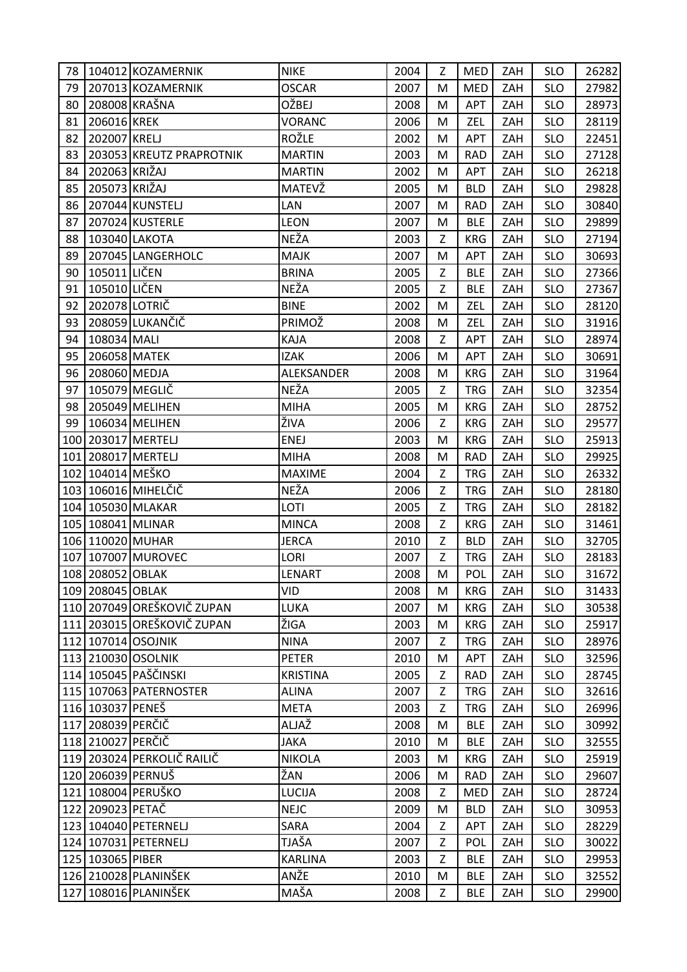| 78  |                   | 104012 KOZAMERNIK          | <b>NIKE</b>     | 2004 | Z | <b>MED</b> | ZAH | <b>SLO</b> | 26282 |
|-----|-------------------|----------------------------|-----------------|------|---|------------|-----|------------|-------|
| 79  |                   | 207013 KOZAMERNIK          | <b>OSCAR</b>    | 2007 | M | <b>MED</b> | ZAH | <b>SLO</b> | 27982 |
| 80  |                   | 208008 KRAŠNA              | OŽBEJ           | 2008 | M | APT        | ZAH | <b>SLO</b> | 28973 |
| 81  | 206016 KREK       |                            | VORANC          | 2006 | M | ZEL        | ZAH | <b>SLO</b> | 28119 |
| 82  | 202007 KRELJ      |                            | ROŽLE           | 2002 | M | <b>APT</b> | ZAH | <b>SLO</b> | 22451 |
| 83  |                   | 203053 KREUTZ PRAPROTNIK   | <b>MARTIN</b>   | 2003 | M | <b>RAD</b> | ZAH | <b>SLO</b> | 27128 |
| 84  | 202063 KRIŽAJ     |                            | <b>MARTIN</b>   | 2002 | M | APT        | ZAH | <b>SLO</b> | 26218 |
| 85  | 205073 KRIŽAJ     |                            | MATEVŽ          | 2005 | M | <b>BLD</b> | ZAH | <b>SLO</b> | 29828 |
| 86  |                   | 207044 KUNSTELJ            | LAN             | 2007 | M | <b>RAD</b> | ZAH | <b>SLO</b> | 30840 |
| 87  |                   | 207024 KUSTERLE            | <b>LEON</b>     | 2007 | M | <b>BLE</b> | ZAH | <b>SLO</b> | 29899 |
| 88  |                   | 103040 LAKOTA              | NEŽA            | 2003 | Z | <b>KRG</b> | ZAH | <b>SLO</b> | 27194 |
| 89  |                   | 207045 LANGERHOLC          | <b>MAJK</b>     | 2007 | M | <b>APT</b> | ZAH | <b>SLO</b> | 30693 |
| 90  | 105011 LIČEN      |                            | <b>BRINA</b>    | 2005 | Z | <b>BLE</b> | ZAH | <b>SLO</b> | 27366 |
| 91  | 105010 LIČEN      |                            | NEŽA            | 2005 | Z | <b>BLE</b> | ZAH | <b>SLO</b> | 27367 |
| 92  | 202078 LOTRIČ     |                            | <b>BINE</b>     | 2002 | M | ZEL        | ZAH | <b>SLO</b> | 28120 |
| 93  |                   | 208059 LUKANČIČ            | PRIMOŽ          | 2008 | M | ZEL        | ZAH | <b>SLO</b> | 31916 |
| 94  | 108034 MALI       |                            | KAJA            | 2008 | Z | APT        | ZAH | <b>SLO</b> | 28974 |
| 95  | 206058 MATEK      |                            | <b>IZAK</b>     | 2006 | M | <b>APT</b> | ZAH | <b>SLO</b> | 30691 |
| 96  | 208060 MEDJA      |                            | ALEKSANDER      | 2008 | M | <b>KRG</b> | ZAH | <b>SLO</b> | 31964 |
| 97  |                   | 105079 MEGLIČ              | NEŽA            | 2005 | Z | <b>TRG</b> | ZAH | <b>SLO</b> | 32354 |
| 98  |                   | 205049 MELIHEN             | <b>MIHA</b>     | 2005 | M | <b>KRG</b> | ZAH | <b>SLO</b> | 28752 |
| 99  |                   | 106034 MELIHEN             | ŽIVA            | 2006 | Z | <b>KRG</b> | ZAH | <b>SLO</b> | 29577 |
|     |                   | 100 203017 MERTELJ         | <b>ENEJ</b>     | 2003 | M | <b>KRG</b> | ZAH | <b>SLO</b> | 25913 |
|     |                   | 101 208017 MERTELJ         | <b>MIHA</b>     | 2008 | M | <b>RAD</b> | ZAH | <b>SLO</b> | 29925 |
|     | 102 104014 MEŠKO  |                            | <b>MAXIME</b>   | 2004 | Z | <b>TRG</b> | ZAH | <b>SLO</b> | 26332 |
|     |                   | 103 106016 MIHELČIČ        | NEŽA            | 2006 | Z | <b>TRG</b> | ZAH | <b>SLO</b> | 28180 |
|     |                   | 104 105030 MLAKAR          | LOTI            | 2005 | Z | <b>TRG</b> | ZAH | <b>SLO</b> | 28182 |
|     |                   | 105 108041 MLINAR          | <b>MINCA</b>    | 2008 | Z | <b>KRG</b> | ZAH | <b>SLO</b> | 31461 |
|     | 106 110020 MUHAR  |                            | <b>JERCA</b>    | 2010 | Z | <b>BLD</b> | ZAH | <b>SLO</b> | 32705 |
| 107 |                   | 107007 MUROVEC             | LORI            | 2007 | Z | <b>TRG</b> | ZAH | <b>SLO</b> | 28183 |
|     | 108 208052 OBLAK  |                            | LENART          | 2008 | M | POL        | ZAH | <b>SLO</b> | 31672 |
|     | 109 208045 OBLAK  |                            | VID             | 2008 | М | <b>KRG</b> | ZAH | <b>SLO</b> | 31433 |
|     |                   | 110 207049 OREŠKOVIČ ZUPAN | LUKA            | 2007 | M | <b>KRG</b> | ZAH | <b>SLO</b> | 30538 |
|     |                   | 111 203015 OREŠKOVIČ ZUPAN | ŽIGA            | 2003 | M | <b>KRG</b> | ZAH | <b>SLO</b> | 25917 |
| 112 |                   | 107014 OSOJNIK             | <b>NINA</b>     | 2007 | Z | <b>TRG</b> | ZAH | <b>SLO</b> | 28976 |
|     |                   | 113 210030 OSOLNIK         | <b>PETER</b>    | 2010 | M | APT        | ZAH | <b>SLO</b> | 32596 |
|     |                   | 114 105045 PAŠČINSKI       | <b>KRISTINA</b> | 2005 | Z | <b>RAD</b> | ZAH | <b>SLO</b> | 28745 |
|     |                   | 115 107063 PATERNOSTER     | <b>ALINA</b>    | 2007 | Z | <b>TRG</b> | ZAH | <b>SLO</b> | 32616 |
|     | 116 103037 PENEŠ  |                            | <b>META</b>     | 2003 | Z | <b>TRG</b> | ZAH | <b>SLO</b> | 26996 |
|     | 117 208039 PERČIČ |                            | ALJAŽ           | 2008 | M | <b>BLE</b> | ZAH | <b>SLO</b> | 30992 |
|     | 118 210027 PERČIČ |                            | <b>JAKA</b>     | 2010 | M | <b>BLE</b> | ZAH | <b>SLO</b> | 32555 |
|     |                   | 119 203024 PERKOLIČ RAILIČ | <b>NIKOLA</b>   | 2003 | M | <b>KRG</b> | ZAH | <b>SLO</b> | 25919 |
|     |                   | 120 206039 PERNUŠ          | ŽAN             | 2006 | M | <b>RAD</b> | ZAH | <b>SLO</b> | 29607 |
|     |                   | 121 108004 PERUŠKO         | LUCIJA          | 2008 | Z | <b>MED</b> | ZAH | <b>SLO</b> | 28724 |
|     | 122 209023 PETAČ  |                            | <b>NEJC</b>     | 2009 | M | <b>BLD</b> | ZAH | <b>SLO</b> | 30953 |
|     |                   | 123 104040 PETERNELJ       | SARA            | 2004 | Z | <b>APT</b> | ZAH | <b>SLO</b> | 28229 |
|     |                   | 124 107031 PETERNELJ       | TJAŠA           | 2007 | Z | POL        | ZAH | <b>SLO</b> | 30022 |
|     | 125 103065 PIBER  |                            | <b>KARLINA</b>  | 2003 | Z | <b>BLE</b> | ZAH | <b>SLO</b> | 29953 |
|     |                   | 126 210028 PLANINŠEK       | ANŽE            | 2010 | M | <b>BLE</b> | ZAH | <b>SLO</b> | 32552 |
|     |                   | 127 108016 PLANINŠEK       | MAŠA            | 2008 | Ζ | <b>BLE</b> | ZAH | <b>SLO</b> | 29900 |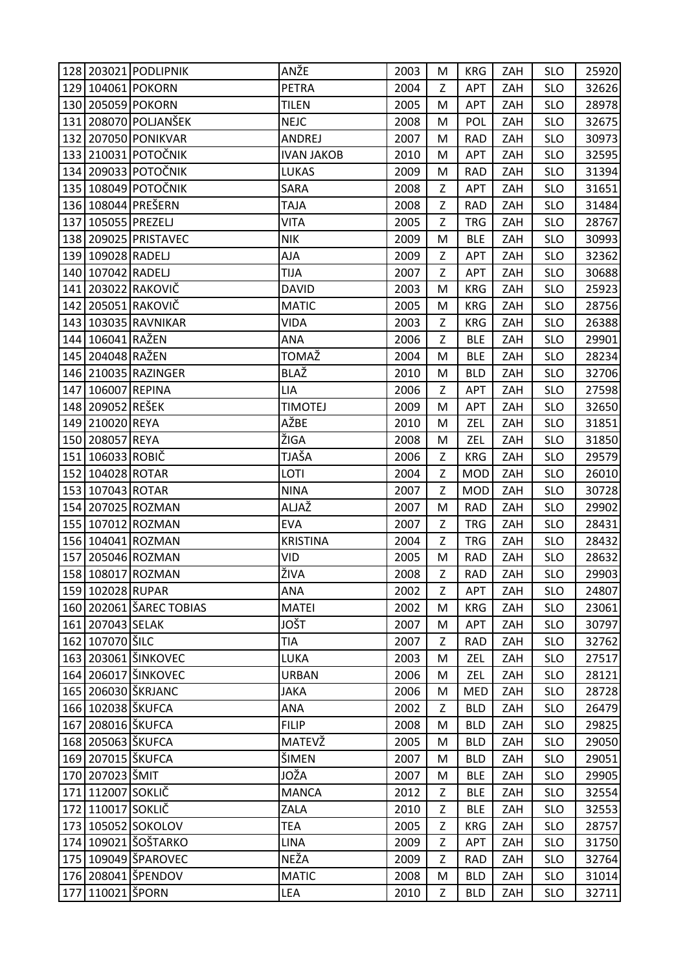|     |                   | 128 203021 PODLIPNIK    | ANŽE                | 2003 | M | <b>KRG</b> | ZAH | <b>SLO</b> | 25920 |
|-----|-------------------|-------------------------|---------------------|------|---|------------|-----|------------|-------|
|     |                   | 129 104061 POKORN       | <b>PETRA</b>        | 2004 | Z | APT        | ZAH | <b>SLO</b> | 32626 |
|     |                   | 130 205059 POKORN       | <b>TILEN</b>        | 2005 | м | <b>APT</b> | ZAH | <b>SLO</b> | 28978 |
|     |                   | 131 208070 POLJANŠEK    | <b>NEJC</b>         | 2008 | M | POL        | ZAH | <b>SLO</b> | 32675 |
| 132 |                   | 207050 PONIKVAR         | ANDREJ              | 2007 | M | <b>RAD</b> | ZAH | <b>SLO</b> | 30973 |
|     |                   | 133 210031 POTOČNIK     | <b>IVAN JAKOB</b>   | 2010 | M | <b>APT</b> | ZAH | <b>SLO</b> | 32595 |
|     |                   | 134 209033 POTOČNIK     | LUKAS               | 2009 | M | <b>RAD</b> | ZAH | <b>SLO</b> | 31394 |
|     |                   | 135 108049 POTOČNIK     | SARA                | 2008 | Z | <b>APT</b> | ZAH | <b>SLO</b> | 31651 |
|     |                   | 136 108044 PREŠERN      | <b>TAJA</b>         | 2008 | Z | <b>RAD</b> | ZAH | <b>SLO</b> | 31484 |
| 137 | 105055 PREZELJ    |                         | <b>VITA</b>         | 2005 | Z | <b>TRG</b> | ZAH | <b>SLO</b> | 28767 |
|     |                   | 138 209025 PRISTAVEC    | <b>NIK</b>          | 2009 | M | <b>BLE</b> | ZAH | <b>SLO</b> | 30993 |
|     | 139 109028 RADELJ |                         | AJA                 | 2009 | Z | APT        | ZAH | <b>SLO</b> | 32362 |
|     | 140 107042 RADELJ |                         | <b>TIJA</b>         | 2007 | Z | APT        | ZAH | <b>SLO</b> | 30688 |
|     |                   | 141 203022 RAKOVIČ      | <b>DAVID</b>        | 2003 | M | <b>KRG</b> | ZAH | <b>SLO</b> | 25923 |
|     |                   | 142 205051 RAKOVIČ      | <b>MATIC</b>        | 2005 | M | <b>KRG</b> | ZAH | <b>SLO</b> | 28756 |
|     |                   | 143 103035 RAVNIKAR     | <b>VIDA</b>         | 2003 | Z | <b>KRG</b> | ZAH | <b>SLO</b> | 26388 |
|     | 144 106041 RAŽEN  |                         | ANA                 | 2006 | Z | <b>BLE</b> | ZAH | <b>SLO</b> | 29901 |
|     | 145 204048 RAŽEN  |                         | TOMAŽ               | 2004 | M | <b>BLE</b> | ZAH | <b>SLO</b> | 28234 |
|     |                   | 146 210035 RAZINGER     | BLAŽ                | 2010 | M | <b>BLD</b> | ZAH | <b>SLO</b> | 32706 |
|     | 147 106007 REPINA |                         | LIA                 | 2006 | Z | <b>APT</b> | ZAH | <b>SLO</b> | 27598 |
|     | 148 209052 REŠEK  |                         | <b>TIMOTEJ</b>      | 2009 | M | <b>APT</b> | ZAH | <b>SLO</b> | 32650 |
|     | 149 210020 REYA   |                         | AŽBE                | 2010 | M | ZEL        | ZAH | <b>SLO</b> | 31851 |
|     | 150 208057 REYA   |                         | ŽIGA                | 2008 | M | ZEL        | ZAH | <b>SLO</b> | 31850 |
|     | 151 106033 ROBIČ  |                         | TJAŠA               | 2006 | Z | <b>KRG</b> | ZAH | <b>SLO</b> | 29579 |
|     | 152 104028 ROTAR  |                         | LOTI                | 2004 | Z | <b>MOD</b> | ZAH | <b>SLO</b> | 26010 |
|     |                   |                         |                     |      |   |            |     |            |       |
|     | 153 107043 ROTAR  |                         | <b>NINA</b>         | 2007 | Z | <b>MOD</b> | ZAH | <b>SLO</b> | 30728 |
|     |                   | 154 207025 ROZMAN       | ALJAŽ               | 2007 | M | <b>RAD</b> | ZAH | <b>SLO</b> | 29902 |
|     |                   | 155 107012 ROZMAN       | <b>EVA</b>          | 2007 | Z | <b>TRG</b> | ZAH | <b>SLO</b> | 28431 |
|     |                   | 156 104041 ROZMAN       | <b>KRISTINA</b>     | 2004 | Z | <b>TRG</b> | ZAH | <b>SLO</b> | 28432 |
|     |                   | 157 205046 ROZMAN       | VID                 | 2005 | M | <b>RAD</b> | ZAH | <b>SLO</b> | 28632 |
|     |                   | 158 108017 ROZMAN       | ŽIVA                | 2008 | Z | <b>RAD</b> | ZAH | <b>SLO</b> | 29903 |
|     | 159 102028 RUPAR  |                         | ANA                 | 2002 | Z | <b>APT</b> | ZAH | <b>SLO</b> | 24807 |
|     |                   | 160 202061 ŠAREC TOBIAS | <b>MATEI</b>        | 2002 | M | <b>KRG</b> | ZAH | <b>SLO</b> | 23061 |
|     | 161 207043 SELAK  |                         | JOŠT                | 2007 | M | APT        | ZAH | <b>SLO</b> | 30797 |
|     | 162 107070 ŠILC   |                         | TIA                 | 2007 | Z | <b>RAD</b> | ZAH | <b>SLO</b> | 32762 |
|     |                   | 163 203061 ŠINKOVEC     | LUKA                | 2003 | M | ZEL        | ZAH | <b>SLO</b> | 27517 |
|     |                   | 164 206017 ŠINKOVEC     | <b>URBAN</b>        | 2006 | M | ZEL        | ZAH | <b>SLO</b> | 28121 |
|     |                   | 165   206030   ŠKRJANC  | <b>JAKA</b>         | 2006 | M | <b>MED</b> | ZAH | <b>SLO</b> | 28728 |
|     | 166 102038 ŠKUFCA |                         | <b>ANA</b>          | 2002 | Z | <b>BLD</b> | ZAH | <b>SLO</b> | 26479 |
|     | 167 208016 ŠKUFCA |                         | <b>FILIP</b>        | 2008 | M | <b>BLD</b> | ZAH | <b>SLO</b> | 29825 |
|     | 168 205063 ŠKUFCA |                         | MATEVŽ              | 2005 | M | <b>BLD</b> | ZAH | <b>SLO</b> | 29050 |
|     | 169 207015 ŠKUFCA |                         | ŠIMEN               | 2007 | M | <b>BLD</b> | ZAH | <b>SLO</b> | 29051 |
|     | 170 207023 ŠMIT   |                         | JOŽA                | 2007 | M | <b>BLE</b> | ZAH | <b>SLO</b> | 29905 |
|     | 171 112007 SOKLIČ |                         | <b>MANCA</b>        | 2012 | Z | <b>BLE</b> | ZAH | <b>SLO</b> | 32554 |
|     | 172 110017 SOKLIČ |                         | ZALA                | 2010 | Z | <b>BLE</b> | ZAH | <b>SLO</b> | 32553 |
|     |                   | 173 105052 SOKOLOV      | <b>TEA</b>          | 2005 | Z | <b>KRG</b> | ZAH | <b>SLO</b> | 28757 |
|     |                   | 174 109021 ŠOŠTARKO     | <b>LINA</b>         | 2009 | Z | APT        | ZAH | <b>SLO</b> | 31750 |
|     |                   | 175 109049 ŠPAROVEC     | NEŽA                | 2009 | Z | <b>RAD</b> | ZAH | <b>SLO</b> | 32764 |
|     | 110021 ŠPORN      | 176 208041 ŠPENDOV      | <b>MATIC</b><br>LEA | 2008 | M | <b>BLD</b> | ZAH | <b>SLO</b> | 31014 |